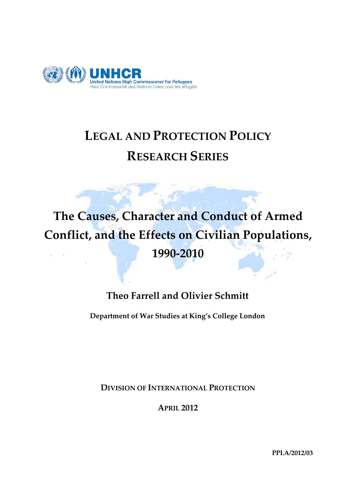

# **LEGAL AND PROTECTION POLICY RESEARCH SERIES**

**The Causes, Character and Conduct of Armed Conflict, and the Effects on Civilian Populations, 1990-2010**

# **Theo Farrell and Olivier Schmitt**

**Department of War Studies at King's College London**

**DIVISION OF INTERNATIONAL PROTECTION**

**APRIL 2012**

**PPLA/2012/03**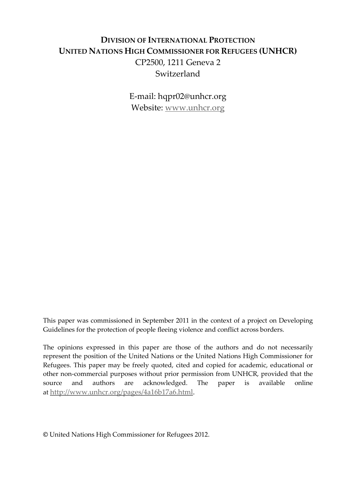# **DIVISION OF INTERNATIONAL PROTECTION UNITED NATIONS HIGH COMMISSIONER FOR REFUGEES (UNHCR)** CP2500, 1211 Geneva 2 Switzerland

E-mail: hqpr02@unhcr.org Website: [www.unhcr.org](http://www.unhcr.org/)

This paper was commissioned in September 2011 in the context of a project on Developing Guidelines for the protection of people fleeing violence and conflict across borders.

The opinions expressed in this paper are those of the authors and do not necessarily represent the position of the United Nations or the United Nations High Commissioner for Refugees. This paper may be freely quoted, cited and copied for academic, educational or other non-commercial purposes without prior permission from UNHCR, provided that the source and authors are acknowledged. The paper is available online at [http://www.unhcr.org/pages/4a16b17a6.html.](http://www.unhcr.org/pages/4a16b17a6.html)

**©** United Nations High Commissioner for Refugees 2012.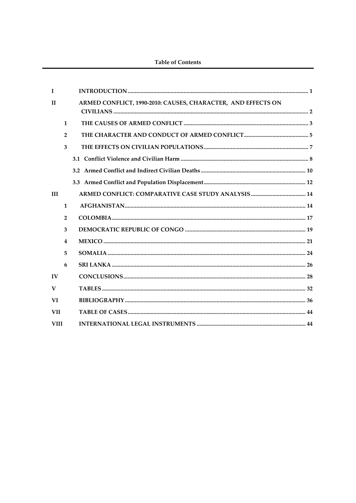#### **Table of Contents**

| $\mathbf{I}$ |                |                                                              |
|--------------|----------------|--------------------------------------------------------------|
| $\mathbf{H}$ |                | ARMED CONFLICT, 1990-2010: CAUSES, CHARACTER, AND EFFECTS ON |
|              | 1              |                                                              |
|              | $\overline{2}$ |                                                              |
|              | $\overline{3}$ |                                                              |
|              |                |                                                              |
|              |                |                                                              |
|              |                |                                                              |
| <b>III</b>   |                |                                                              |
|              | $\mathbf{1}$   |                                                              |
|              | $\overline{2}$ |                                                              |
|              | 3              |                                                              |
|              | 4              |                                                              |
|              | 5              |                                                              |
|              | 6              |                                                              |
| $\bf{IV}$    |                |                                                              |
| $\mathbf{V}$ |                |                                                              |
| VI           |                |                                                              |
| <b>VII</b>   |                |                                                              |
| <b>VIII</b>  |                |                                                              |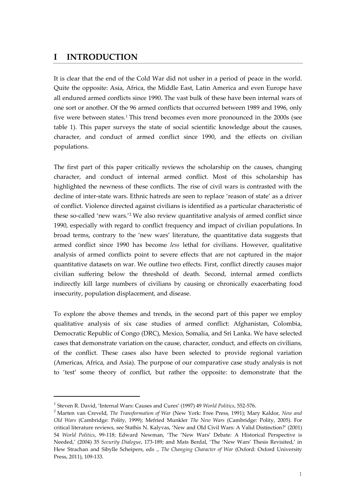### <span id="page-3-0"></span>**I INTRODUCTION**

It is clear that the end of the Cold War did not usher in a period of peace in the world. Quite the opposite: Asia, Africa, the Middle East, Latin America and even Europe have all endured armed conflicts since 1990. The vast bulk of these have been internal wars of one sort or another. Of the 96 armed conflicts that occurred between 1989 and 1996, only five were between states.<sup>[1](#page-3-1)</sup> This trend becomes even more pronounced in the 2000s (see table 1). This paper surveys the state of social scientific knowledge about the causes, character, and conduct of armed conflict since 1990, and the effects on civilian populations.

The first part of this paper critically reviews the scholarship on the causes, changing character, and conduct of internal armed conflict. Most of this scholarship has highlighted the newness of these conflicts. The rise of civil wars is contrasted with the decline of inter-state wars. Ethnic hatreds are seen to replace 'reason of state' as a driver of conflict. Violence directed against civilians is identified as a particular characteristic of these so-called 'new wars.' [2](#page-3-2) We also review quantitative analysis of armed conflict since 1990, especially with regard to conflict frequency and impact of civilian populations. In broad terms, contrary to the 'new wars' literature, the quantitative data suggests that armed conflict since 1990 has become *less* lethal for civilians. However, qualitative analysis of armed conflicts point to severe effects that are not captured in the major quantitative datasets on war. We outline two effects. First, conflict directly causes major civilian suffering below the threshold of death. Second, internal armed conflicts indirectly kill large numbers of civilians by causing or chronically exacerbating food insecurity, population displacement, and disease.

To explore the above themes and trends, in the second part of this paper we employ qualitative analysis of six case studies of armed conflict: Afghanistan, Colombia, Democratic Republic of Congo (DRC), Mexico, Somalia, and Sri Lanka. We have selected cases that demonstrate variation on the cause, character, conduct, and effects on civilians, of the conflict. These cases also have been selected to provide regional variation (Americas, Africa, and Asia). The purpose of our comparative case study analysis is not to 'test' some theory of conflict, but rather the opposite: to demonstrate that the

<span id="page-3-1"></span><sup>1</sup> Steven R. David, 'Internal Wars: Causes and Cures' (1997) 49 *World Politics*, 552-576.

<span id="page-3-2"></span><sup>2</sup> Marten van Creveld, *The Transformation of War* (New York: Free Press, 1991); Mary Kaldor, *New and Old Wars* (Cambridge: Polity, 1999); Mefried Munkler *The New Wars* (Cambridge: Polity, 2005). For critical literature reviews, see Stathis N. Kalyvas, 'New and Old Civil Wars: A Valid Distinction?' (2001) 54 *World Politics*, 99-118; Edward Newman, 'The 'New Wars' Debate: A Historical Perspective is Needed,' (2004) 35 *Security Dialogue*, 173-189; and Mats Berdal, 'The 'New Wars' Thesis Revisited,' in Hew Strachan and Sibylle Scheipers, eds ., *The Changing Character of War* (Oxford: Oxford University Press, 2011), 109-133.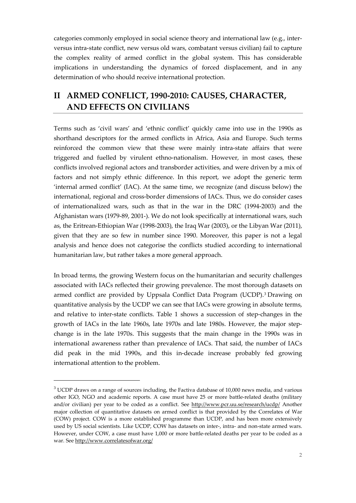categories commonly employed in social science theory and international law (e.g., interversus intra-state conflict, new versus old wars, combatant versus civilian) fail to capture the complex reality of armed conflict in the global system. This has considerable implications in understanding the dynamics of forced displacement, and in any determination of who should receive international protection.

# <span id="page-4-0"></span>**II ARMED CONFLICT, 1990-2010: CAUSES, CHARACTER, AND EFFECTS ON CIVILIANS**

Terms such as 'civil wars' and 'ethnic conflict' quickly came into use in the 1990s as shorthand descriptors for the armed conflicts in Africa, Asia and Europe. Such terms reinforced the common view that these were mainly intra-state affairs that were triggered and fuelled by virulent ethno-nationalism. However, in most cases, these conflicts involved regional actors and transborder activities, and were driven by a mix of factors and not simply ethnic difference. In this report, we adopt the generic term 'internal armed conflict' (IAC). At the same time, we recognize (and discuss below) the international, regional and cross-border dimensions of IACs. Thus, we do consider cases of internationalized wars, such as that in the war in the DRC (1994-2003) and the Afghanistan wars (1979-89, 2001-). We do not look specifically at international wars, such as, the Eritrean-Ethiopian War (1998-2003), the Iraq War (2003), or the Libyan War (2011), given that they are so few in number since 1990. Moreover, this paper is not a legal analysis and hence does not categorise the conflicts studied according to international humanitarian law, but rather takes a more general approach.

In broad terms, the growing Western focus on the humanitarian and security challenges associated with IACs reflected their growing prevalence. The most thorough datasets on armed conflict are provided by Uppsala Conflict Data Program (UCDP).[3](#page-4-1) Drawing on quantitative analysis by the UCDP we can see that IACs were growing in absolute terms, and relative to inter-state conflicts. Table 1 shows a succession of step-changes in the growth of IACs in the late 1960s, late 1970s and late 1980s. However, the major stepchange is in the late 1970s. This suggests that the main change in the 1990s was in international awareness rather than prevalence of IACs. That said, the number of IACs did peak in the mid 1990s, and this in-decade increase probably fed growing international attention to the problem.

<span id="page-4-1"></span> $3$  UCDP draws on a range of sources including, the Factiva database of 10,000 news media, and various other IGO, NGO and academic reports. A case must have 25 or more battle-related deaths (military and/or civilian) per year to be coded as a conflict. See <http://www.pcr.uu.se/research/ucdp/> Another major collection of quantitative datasets on armed conflict is that provided by the Correlates of War (COW) project. COW is a more established programme than UCDP, and has been more extensively used by US social scientists. Like UCDP, COW has datasets on inter-, intra- and non-state armed wars. However, under COW, a case must have 1,000 or more battle-related deaths per year to be coded as a war. Se[e http://www.correlatesofwar.org/](http://www.correlatesofwar.org/)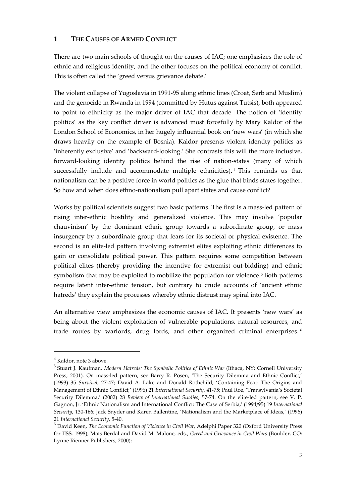#### <span id="page-5-0"></span>**1 THE CAUSES OF ARMED CONFLICT**

There are two main schools of thought on the causes of IAC; one emphasizes the role of ethnic and religious identity, and the other focuses on the political economy of conflict. This is often called the 'greed versus grievance debate.'

The violent collapse of Yugoslavia in 1991-95 along ethnic lines (Croat, Serb and Muslim) and the genocide in Rwanda in 1994 (committed by Hutus against Tutsis), both appeared to point to ethnicity as the major driver of IAC that decade. The notion of 'identity politics' as the key conflict driver is advanced most forcefully by Mary Kaldor of the London School of Economics, in her hugely influential book on 'new wars' (in which she draws heavily on the example of Bosnia). Kaldor presents violent identity politics as 'inherently exclusive' and 'backward-looking.' She contrasts this will the more inclusive, forward-looking identity politics behind the rise of nation-states (many of which successfully include and accommodate multiple ethnicities). [4](#page-5-1) This reminds us that nationalism can be a positive force in world politics as the glue that binds states together. So how and when does ethno-nationalism pull apart states and cause conflict?

Works by political scientists suggest two basic patterns. The first is a mass-led pattern of rising inter-ethnic hostility and generalized violence. This may involve 'popular chauvinism' by the dominant ethnic group towards a subordinate group, or mass insurgency by a subordinate group that fears for its societal or physical existence. The second is an elite-led pattern involving extremist elites exploiting ethnic differences to gain or consolidate political power. This pattern requires some competition between political elites (thereby providing the incentive for extremist out-bidding) and ethnic symbolism that may be exploited to mobilize the population for violence. [5](#page-5-2) Both patterns require latent inter-ethnic tension, but contrary to crude accounts of 'ancient ethnic hatreds' they explain the processes whereby ethnic distrust may spiral into IAC.

An alternative view emphasizes the economic causes of IAC. It presents 'new wars' as being about the violent exploitation of vulnerable populations, natural resources, and trade routes by warlords, drug lords, and other organized criminal enterprises. [6](#page-5-3)

<span id="page-5-1"></span><sup>4</sup> Kaldor, note 3 above.

<span id="page-5-2"></span><sup>5</sup> Stuart J. Kaufman, *Modern Hatreds: The Symbolic Politics of Ethnic War* (Ithaca, NY: Cornell University Press, 2001). On mass-led pattern, see Barry R. Posen, 'The Security Dilemma and Ethnic Conflict,' (1993) 35 *Survival*, 27-47; David A. Lake and Donald Rothchild, 'Containing Fear: The Origins and Management of Ethnic Conflict,' (1996) 21 *International Security*, 41-75; Paul Roe, 'Transylvania's Societal Security Dilemma,' (2002) 28 *Review of International Studies*, 57-74. On the elite-led pattern, see V. P. Gagnon, Jr. 'Ethnic Nationalism and International Conflict: The Case of Serbia,' (1994/95) 19 *International Security*, 130-166; Jack Snyder and Karen Ballentine, 'Nationalism and the Marketplace of Ideas,' (1996) 21 *International Security*, 5-40.

<span id="page-5-3"></span><sup>6</sup> David Keen, *The Economic Function of Violence in Civil War*, Adelphi Paper 320 (Oxford University Press for IISS, 1998); Mats Berdal and David M. Malone, eds., *Greed and Grievance in Civil Wars* (Boulder, CO: Lynne Rienner Publishers, 2000);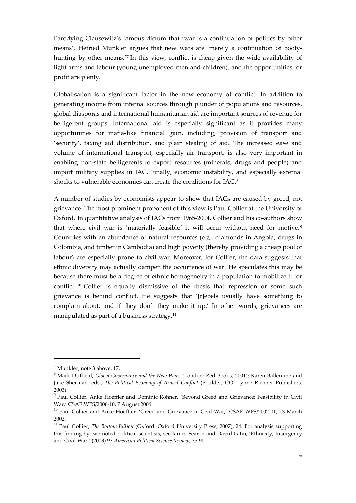Parodying Clausewitz's famous dictum that 'war is a continuation of politics by other means', Hefried Munkler argues that new wars are 'merely a continuation of bootyhunting by other means.'[7](#page-6-0) In this view, conflict is cheap given the wide availability of light arms and labour (young unemployed men and children), and the opportunities for profit are plenty.

Globalisation is a significant factor in the new economy of conflict. In addition to generating income from internal sources through plunder of populations and resources, global diasporas and international humanitarian aid are important sources of revenue for belligerent groups. International aid is especially significant as it provides many opportunities for mafia-like financial gain, including, provision of transport and 'security', taxing aid distribution, and plain stealing of aid. The increased ease and volume of international transport, especially air transport, is also very important in enabling non-state belligerents to export resources (minerals, drugs and people) and import military supplies in IAC. Finally, economic instability, and especially external shocks to vulnerable economies can create the conditions for IAC. [8](#page-6-1)

A number of studies by economists appear to show that IACs are caused by greed, not grievance. The most prominent proponent of this view is Paul Collier at the University of Oxford. In quantitative analysis of IACs from 1965-2004, Collier and his co-authors show that where civil war is 'materially feasible' it will occur without need for motive.<sup>[9](#page-6-2)</sup> Countries with an abundance of natural resources (e.g., diamonds in Angola, drugs in Colombia, and timber in Cambodia) and high poverty (thereby providing a cheap pool of labour) are especially prone to civil war. Moreover, for Collier, the data suggests that ethnic diversity may actually dampen the occurrence of war. He speculates this may be because there must be a degree of ethnic homogeneity in a population to mobilize it for conflict. [10](#page-6-3) Collier is equally dismissive of the thesis that repression or some such grievance is behind conflict. He suggests that '[r]ebels usually have something to complain about, and if they don't they make it up.' In other words, grievances are manipulated as part of a business strategy.<sup>[11](#page-6-4)</sup>

<span id="page-6-0"></span> $<sup>7</sup>$  Munkler, note 3 above, 17.</sup>

<span id="page-6-1"></span><sup>8</sup> Mark Duffield, *Global Governance and the New Wars* (London: Zed Books, 2001); Karen Ballentine and Jake Sherman, eds., *The Political Economy of Armed Conflict* (Boulder, CO: Lynne Rienner Publishers, 2003).

<span id="page-6-2"></span><sup>&</sup>lt;sup>9</sup> Paul Collier, Anke Hoeffler and Dominic Rohner, 'Beyond Greed and Grievance: Feasibility in Civil War,' CSAE WPS/2006-10, 7 August 2006.

<span id="page-6-3"></span><sup>&</sup>lt;sup>10</sup> Paul Collier and Anke Hoeffler, 'Greed and Grievance in Civil War,' CSAE WPS/2002-01, 13 March 2002.

<span id="page-6-4"></span><sup>11</sup> Paul Collier, *The Bottom Billion* (Oxford: Oxford University Press, 2007), 24. For analysis supporting this finding by two noted political scientists, see James Fearon and David Latin, 'Ethnicity, Insurgency and Civil War,' (2003) 97 *American Political Science Review*, 75-90.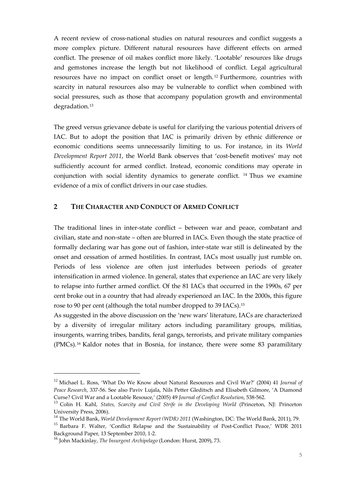A recent review of cross-national studies on natural resources and conflict suggests a more complex picture. Different natural resources have different effects on armed conflict. The presence of oil makes conflict more likely. 'Lootable' resources like drugs and gemstones increase the length but not likelihood of conflict. Legal agricultural resources have no impact on conflict onset or length. [12](#page-7-1) Furthermore, countries with scarcity in natural resources also may be vulnerable to conflict when combined with social pressures, such as those that accompany population growth and environmental degradation.<sup>[13](#page-7-2)</sup>

The greed versus grievance debate is useful for clarifying the various potential drivers of IAC. But to adopt the position that IAC is primarily driven by ethnic difference or economic conditions seems unnecessarily limiting to us. For instance, in its *World Development Report 2011*, the World Bank observes that 'cost-benefit motives' may not sufficiently account for armed conflict. Instead, economic conditions may operate in conjunction with social identity dynamics to generate conflict. [14](#page-7-3) Thus we examine evidence of a mix of conflict drivers in our case studies.

#### <span id="page-7-0"></span>**2 THE CHARACTER AND CONDUCT OF ARMED CONFLICT**

The traditional lines in inter-state conflict – between war and peace, combatant and civilian, state and non-state – often are blurred in IACs. Even though the state practice of formally declaring war has gone out of fashion, inter-state war still is delineated by the onset and cessation of armed hostilities. In contrast, IACs most usually just rumble on. Periods of less violence are often just interludes between periods of greater intensification in armed violence. In general, states that experience an IAC are very likely to relapse into further armed conflict. Of the 81 IACs that occurred in the 1990s, 67 per cent broke out in a country that had already experienced an IAC. In the 2000s, this figure rose to 90 per cent (although the total number dropped to 39 IACs).[15](#page-7-4)

As suggested in the above discussion on the 'new wars' literature, IACs are characterized by a diversity of irregular military actors including paramilitary groups, militias, insurgents, warring tribes, bandits, feral gangs, terrorists, and private military companies (PMCs).[16](#page-7-5) Kaldor notes that in Bosnia, for instance, there were some 83 paramilitary

<span id="page-7-1"></span><sup>12</sup> Michael L. Ross, 'What Do We Know about Natural Resources and Civil War?' (2004) 41 *Journal of Peace Research*, 337-56. See also Paviv Lujala, Nils Petter Gleditsch and Elisabeth Gilmore, 'A Diamond Curse? Civil War and a Lootable Resouce,' (2005) 49 *Journal of Conflict Resolution*, 538-562.

<span id="page-7-2"></span><sup>13</sup> Colin H. Kahl, *States, Scarcity and Civil Strife in the Developing World* (Princeton, NJ: Princeton University Press, 2006).

<span id="page-7-4"></span><span id="page-7-3"></span><sup>14</sup> The World Bank, *World Development Report (WDR) 2011* (Washington, DC: The World Bank, 2011), 79. <sup>15</sup> Barbara F. Walter, 'Conflict Relapse and the Sustainability of Post-Conflict Peace,' WDR 2011 Background Paper, 13 September 2010, 1-2.

<span id="page-7-5"></span><sup>16</sup> John Mackinlay, *The Insurgent Archipelago* (London: Hurst, 2009), 73.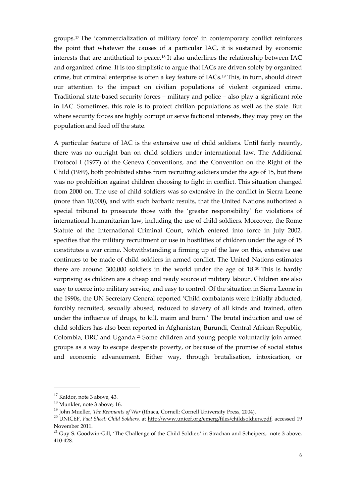groups.[17](#page-8-0) The 'commercialization of military force' in contemporary conflict reinforces the point that whatever the causes of a particular IAC, it is sustained by economic interests that are antithetical to peace.[18](#page-8-1) It also underlines the relationship between IAC and organized crime. It is too simplistic to argue that IACs are driven solely by organized crime, but criminal enterprise is often a key feature of IACs.[19](#page-8-2) This, in turn, should direct our attention to the impact on civilian populations of violent organized crime. Traditional state-based security forces – military and police – also play a significant role in IAC. Sometimes, this role is to protect civilian populations as well as the state. But where security forces are highly corrupt or serve factional interests, they may prey on the population and feed off the state.

A particular feature of IAC is the extensive use of child soldiers. Until fairly recently, there was no outright ban on child soldiers under international law. The Additional Protocol I (1977) of the Geneva Conventions, and the Convention on the Right of the Child (1989), both prohibited states from recruiting soldiers under the age of 15, but there was no prohibition against children choosing to fight in conflict. This situation changed from 2000 on. The use of child soldiers was so extensive in the conflict in Sierra Leone (more than 10,000), and with such barbaric results, that the United Nations authorized a special tribunal to prosecute those with the 'greater responsibility' for violations of international humanitarian law, including the use of child soldiers. Moreover, the Rome Statute of the International Criminal Court, which entered into force in July 2002, specifies that the military recruitment or use in hostilities of children under the age of 15 constitutes a war crime. Notwithstanding a firming up of the law on this, extensive use continues to be made of child soldiers in armed conflict. The United Nations estimates there are around 300,000 soldiers in the world under the age of 18. [20](#page-8-3) This is hardly surprising as children are a cheap and ready source of military labour. Children are also easy to coerce into military service, and easy to control. Of the situation in Sierra Leone in the 1990s, the UN Secretary General reported 'Child combatants were initially abducted, forcibly recruited, sexually abused, reduced to slavery of all kinds and trained, often under the influence of drugs, to kill, maim and burn.' The brutal induction and use of child soldiers has also been reported in Afghanistan, Burundi, Central African Republic, Colombia, DRC and Uganda.<sup>[21](#page-8-4)</sup> Some children and young people voluntarily join armed groups as a way to escape desperate poverty, or because of the promise of social status and economic advancement. Either way, through brutalisation, intoxication, or

1

<span id="page-8-0"></span><sup>&</sup>lt;sup>17</sup> Kaldor, note 3 above, 43.

<span id="page-8-1"></span><sup>18</sup> Munkler, note 3 above*,* 16.

<sup>&</sup>lt;sup>19</sup> John Mueller, *The Remnants of War* (Ithaca, Cornell: Cornell University Press, 2004).

<span id="page-8-3"></span><span id="page-8-2"></span><sup>20</sup> UNICEF, *Fact Sheet: Child Soldiers,* at [http://www.unicef.org/emerg/files/childsoldiers.pdf,](http://www.unicef.org/emerg/files/childsoldiers.pdf) accessed 19 November 2011.

<span id="page-8-4"></span> $^{21}$  Guy S. Goodwin-Gill, 'The Challenge of the Child Soldier,' in Strachan and Scheipers, note 3 above, 410-428.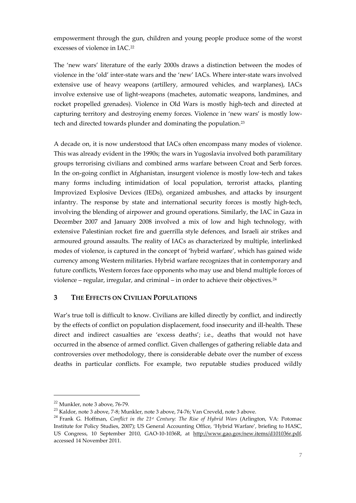empowerment through the gun, children and young people produce some of the worst excesses of violence in IAC.[22](#page-9-1)

The 'new wars' literature of the early 2000s draws a distinction between the modes of violence in the 'old' inter-state wars and the 'new' IACs. Where inter-state wars involved extensive use of heavy weapons (artillery, armoured vehicles, and warplanes), IACs involve extensive use of light-weapons (machetes, automatic weapons, landmines, and rocket propelled grenades). Violence in Old Wars is mostly high-tech and directed at capturing territory and destroying enemy forces. Violence in 'new wars' is mostly lowtech and directed towards plunder and dominating the population.[23](#page-9-2)

A decade on, it is now understood that IACs often encompass many modes of violence. This was already evident in the 1990s; the wars in Yugoslavia involved both paramilitary groups terrorising civilians and combined arms warfare between Croat and Serb forces. In the on-going conflict in Afghanistan, insurgent violence is mostly low-tech and takes many forms including intimidation of local population, terrorist attacks, planting Improvized Explosive Devices (IEDs), organized ambushes, and attacks by insurgent infantry. The response by state and international security forces is mostly high-tech, involving the blending of airpower and ground operations. Similarly, the IAC in Gaza in December 2007 and January 2008 involved a mix of low and high technology, with extensive Palestinian rocket fire and guerrilla style defences, and Israeli air strikes and armoured ground assaults. The reality of IACs as characterized by multiple, interlinked modes of violence, is captured in the concept of 'hybrid warfare', which has gained wide currency among Western militaries. Hybrid warfare recognizes that in contemporary and future conflicts, Western forces face opponents who may use and blend multiple forces of violence – regular, irregular, and criminal – in order to achieve their objectives.[24](#page-9-3)

#### <span id="page-9-0"></span>**3 THE EFFECTS ON CIVILIAN POPULATIONS**

War's true toll is difficult to know. Civilians are killed directly by conflict, and indirectly by the effects of conflict on population displacement, food insecurity and ill-health. These direct and indirect casualties are 'excess deaths'; i.e., deaths that would not have occurred in the absence of armed conflict. Given challenges of gathering reliable data and controversies over methodology, there is considerable debate over the number of excess deaths in particular conflicts. For example, two reputable studies produced wildly

<span id="page-9-1"></span> $22$  Munkler, note 3 above, 76-79.

<span id="page-9-2"></span><sup>23</sup> Kaldor, note 3 above, 7-8; Munkler, note 3 above, 74-76; Van Creveld, note 3 above.

<span id="page-9-3"></span><sup>24</sup> Frank G. Hoffman, *Conflict in the 21st Century: The Rise of Hybrid Wars* (Arlington, VA: Potomac Institute for Policy Studies, 2007); US General Accounting Office, 'Hybrid Warfare', briefing to HASC, US Congress, 10 September 2010, GAO-10-1036R, at [http://www.gao.gov/new.items/d101036r.pdf,](http://www.gao.gov/new.items/d101036r.pdf) accessed 14 November 2011.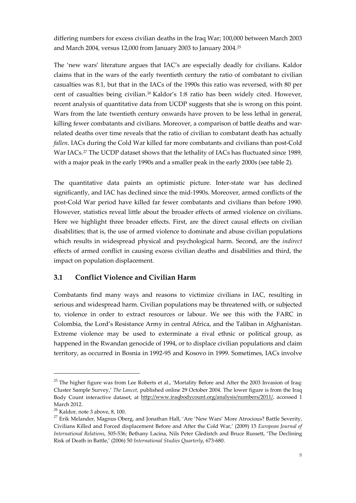differing numbers for excess civilian deaths in the Iraq War; 100,000 between March 2003 and March 2004, versus 12,000 from January 2003 to January 2004.[25](#page-10-1)

The 'new wars' literature argues that IAC's are especially deadly for civilians. Kaldor claims that in the wars of the early twentieth century the ratio of combatant to civilian casualties was 8:1, but that in the IACs of the 1990s this ratio was reversed, with 80 per cent of casualties being civilian.[26](#page-10-2) Kaldor's 1:8 ratio has been widely cited. However, recent analysis of quantitative data from UCDP suggests that she is wrong on this point. Wars from the late twentieth century onwards have proven to be less lethal in general, killing fewer combatants and civilians. Moreover, a comparison of battle deaths and warrelated deaths over time reveals that the ratio of civilian to combatant death has actually *fallen*. IACs during the Cold War killed far more combatants and civilians than post-Cold War IACs.<sup>[27](#page-10-3)</sup> The UCDP dataset shows that the lethality of IACs has fluctuated since 1989, with a major peak in the early 1990s and a smaller peak in the early 2000s (see table 2).

The quantitative data paints an optimistic picture. Inter-state war has declined significantly, and IAC has declined since the mid-1990s. Moreover, armed conflicts of the post-Cold War period have killed far fewer combatants and civilians than before 1990. However, statistics reveal little about the broader effects of armed violence on civilians. Here we highlight three broader effects. First, are the direct causal effects on civilian disabilities; that is, the use of armed violence to dominate and abuse civilian populations which results in widespread physical and psychological harm. Second, are the *indirect*  effects of armed conflict in causing excess civilian deaths and disabilities and third, the impact on population displacement.

#### <span id="page-10-0"></span>**3.1 Conflict Violence and Civilian Harm**

Combatants find many ways and reasons to victimize civilians in IAC, resulting in serious and widespread harm. Civilian populations may be threatened with, or subjected to, violence in order to extract resources or labour. We see this with the FARC in Colombia, the Lord's Resistance Army in central Africa, and the Taliban in Afghanistan. Extreme violence may be used to exterminate a rival ethnic or political group, as happened in the Rwandan genocide of 1994, or to displace civilian populations and claim territory, as occurred in Bosnia in 1992-95 and Kosovo in 1999. Sometimes, IACs involve

<span id="page-10-1"></span><sup>&</sup>lt;sup>25</sup> The higher figure was from Lee Roberts et al., 'Mortality Before and After the 2003 Invasion of Iraq: Cluster Sample Survey,' *The Lancet*, published online 29 October 2004. The lower figure is from the Iraq Body Count interactive dataset, at [http://www.iraqbodycount.org/analysis/numbers/2011/,](http://www.iraqbodycount.org/analysis/numbers/2011/) accessed 1 March 2012.

<span id="page-10-2"></span><sup>26</sup> Kaldor, note 3 above, 8, 100.

<span id="page-10-3"></span> $27$  Erik Melander, Magnus Oberg, and Jonathan Hall, 'Are 'New Wars' More Atrocious? Battle Severity, Civilians Killed and Forced displacement Before and After the Cold War,' (2009) 15 *European Journal of International Relations*, 505-536; Bethany Lacina, Nils Peter Gledistch and Bruce Russett, 'The Declining Risk of Death in Battle,' (2006) 50 *International Studies Quarterly*, 673-680.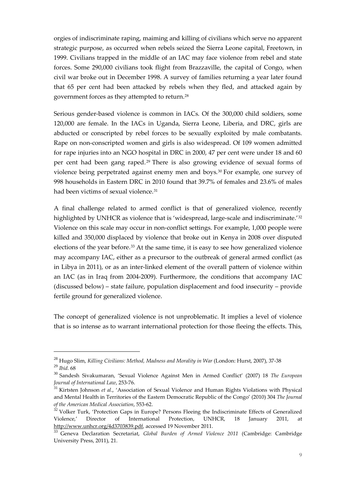orgies of indiscriminate raping, maiming and killing of civilians which serve no apparent strategic purpose, as occurred when rebels seized the Sierra Leone capital, Freetown, in 1999. Civilians trapped in the middle of an IAC may face violence from rebel and state forces. Some 290,000 civilians took flight from Brazzaville, the capital of Congo, when civil war broke out in December 1998. A survey of families returning a year later found that 65 per cent had been attacked by rebels when they fled, and attacked again by government forces as they attempted to return.[28](#page-11-0)

Serious gender-based violence is common in IACs. Of the 300,000 child soldiers, some 120,000 are female. In the IACs in Uganda, Sierra Leone, Liberia, and DRC, girls are abducted or conscripted by rebel forces to be sexually exploited by male combatants. Rape on non-conscripted women and girls is also widespread. Of 109 women admitted for rape injuries into an NGO hospital in DRC in 2000, 47 per cent were under 18 and 60 per cent had been gang raped. [29](#page-11-1) There is also growing evidence of sexual forms of violence being perpetrated against enemy men and boys.[30](#page-11-2) For example, one survey of 998 households in Eastern DRC in 2010 found that 39.7% of females and 23.6% of males had been victims of sexual violence.<sup>[31](#page-11-3)</sup>

A final challenge related to armed conflict is that of generalized violence, recently highlighted by UNHCR as violence that is 'widespread, large-scale and indiscriminate.<sup>'[32](#page-11-4)</sup> Violence on this scale may occur in non-conflict settings. For example, 1,000 people were killed and 350,000 displaced by violence that broke out in Kenya in 2008 over disputed elections of the year before.<sup>[33](#page-11-5)</sup> At the same time, it is easy to see how generalized violence may accompany IAC, either as a precursor to the outbreak of general armed conflict (as in Libya in 2011), or as an inter-linked element of the overall pattern of violence within an IAC (as in Iraq from 2004-2009). Furthermore, the conditions that accompany IAC (discussed below) – state failure, population displacement and food insecurity – provide fertile ground for generalized violence.

The concept of generalized violence is not unproblematic. It implies a level of violence that is so intense as to warrant international protection for those fleeing the effects. This,

<span id="page-11-0"></span><sup>28</sup> Hugo Slim, *Killing Civilians: Method, Madness and Morality in War* (London: Hurst, 2007), 37-38 <sup>29</sup> *Ibid.* 68

<span id="page-11-2"></span><span id="page-11-1"></span><sup>30</sup> Sandesh Sivakumaran, 'Sexual Violence Against Men in Armed Conflict' (2007) 18 *The European Journal of International Law*, 253-76.

<span id="page-11-3"></span><sup>31</sup> Kirtsten Johnson *et al*., 'Association of Sexual Violence and Human Rights Violations with Physical and Mental Health in Territories of the Eastern Democratic Republic of the Congo' (2010) 304 *The Journal of the American Medical Association*, 553-62.

<span id="page-11-4"></span> $32$  Volker Turk, 'Protection Gaps in Europe? Persons Fleeing the Indiscriminate Effects of Generalized Violence,' Director of International Protection, UNHCR, 18 January 2011, at [http://www.unhcr.org/4d3703839.pdf,](http://www.unhcr.org/4d3703839.pdf) accessed 19 November 2011.

<span id="page-11-5"></span><sup>33</sup> Geneva Declaration Secretariat, *Global Burden of Armed Violence 2011* (Cambridge: Cambridge University Press, 2011), 21.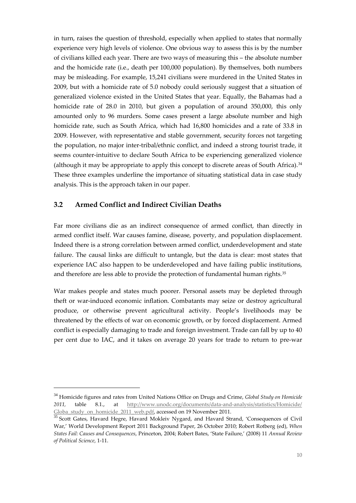in turn, raises the question of threshold, especially when applied to states that normally experience very high levels of violence. One obvious way to assess this is by the number of civilians killed each year. There are two ways of measuring this – the absolute number and the homicide rate (i.e., death per 100,000 population). By themselves, both numbers may be misleading. For example, 15,241 civilians were murdered in the United States in 2009, but with a homicide rate of 5.0 nobody could seriously suggest that a situation of generalized violence existed in the United States that year. Equally, the Bahamas had a homicide rate of 28.0 in 2010, but given a population of around 350,000, this only amounted only to 96 murders. Some cases present a large absolute number and high homicide rate, such as South Africa, which had 16,800 homicides and a rate of 33.8 in 2009. However, with representative and stable government, security forces not targeting the population, no major inter-tribal/ethnic conflict, and indeed a strong tourist trade, it seems counter-intuitive to declare South Africa to be experiencing generalized violence (although it may be appropriate to apply this concept to discrete areas of South Africa).[34](#page-12-1) These three examples underline the importance of situating statistical data in case study analysis. This is the approach taken in our paper.

#### <span id="page-12-0"></span>**3.2 Armed Conflict and Indirect Civilian Deaths**

1

Far more civilians die as an indirect consequence of armed conflict, than directly in armed conflict itself. War causes famine, disease, poverty, and population displacement. Indeed there is a strong correlation between armed conflict, underdevelopment and state failure. The causal links are difficult to untangle, but the data is clear: most states that experience IAC also happen to be underdeveloped and have failing public institutions, and therefore are less able to provide the protection of fundamental human rights.[35](#page-12-2)

War makes people and states much poorer. Personal assets may be depleted through theft or war-induced economic inflation. Combatants may seize or destroy agricultural produce, or otherwise prevent agricultural activity. People's livelihoods may be threatened by the effects of war on economic growth, or by forced displacement. Armed conflict is especially damaging to trade and foreign investment. Trade can fall by up to 40 per cent due to IAC, and it takes on average 20 years for trade to return to pre-war

<span id="page-12-1"></span><sup>34</sup> Homicide figures and rates from United Nations Office on Drugs and Crime, *Global Study on Homicide 2011,* table 8.1., at [http://www.unodc.org/documents/data-and-analysis/statistics/Homicide/](http://www.unodc.org/documents/data-and-analysis/statistics/Homicide/%20Globa_study_on_homicide_2011_web.pdf)  [Globa\\_study\\_on\\_homicide\\_2011\\_web.pdf,](http://www.unodc.org/documents/data-and-analysis/statistics/Homicide/%20Globa_study_on_homicide_2011_web.pdf) accessed on 19 November 2011.

<span id="page-12-2"></span><sup>&</sup>lt;sup>35</sup> Scott Gates, Havard Hegre, Havard Mokleiv Nygard, and Havard Strand, 'Consequences of Civil War,' World Development Report 2011 Background Paper, 26 October 2010; Robert Rotberg (ed), *When States Fail: Causes and Consequences*, Princeton, 2004; Robert Bates, 'State Failure,' (2008) 11 *Annual Review of Political Science*, 1-11.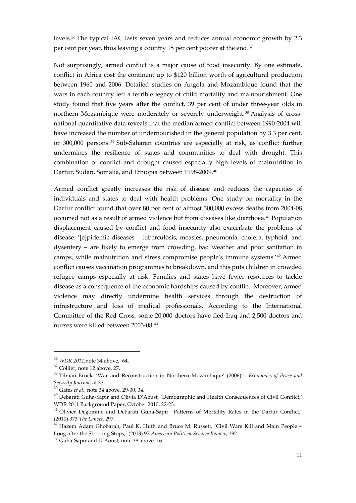levels.[36](#page-13-0) The typical IAC lasts seven years and reduces annual economic growth by 2.3 per cent per year, thus leaving a country 15 per cent poorer at the end.<sup>[37](#page-13-1)</sup>

Not surprisingly, armed conflict is a major cause of food insecurity. By one estimate, conflict in Africa cost the continent up to \$120 billion worth of agricultural production between 1960 and 2006. Detailed studies on Angola and Mozambique found that the wars in each country left a terrible legacy of child mortality and malnourishment. One study found that five years after the conflict, 39 per cent of under three-year olds in northern Mozambique were moderately or severely underweight.[38](#page-13-2) Analysis of crossnational quantitative data reveals that the median armed conflict between 1990-2004 will have increased the number of undernourished in the general population by 3.3 per cent, or 300,000 persons. [39](#page-13-3) Sub-Saharan countries are especially at risk, as conflict further undermines the resilience of states and communities to deal with drought. This combination of conflict and drought caused especially high levels of malnutrition in Darfur, Sudan, Somalia, and Ethiopia between 1998-2009.[40](#page-13-4)

Armed conflict greatly increases the risk of disease and reduces the capacities of individuals and states to deal with health problems. One study on mortality in the Darfur conflict found that over 80 per cent of almost 300,000 excess deaths from 2004-08 occurred not as a result of armed violence but from diseases like diarrhoea.[41](#page-13-5) Population displacement caused by conflict and food insecurity also exacerbate the problems of disease: '[e]pidemic diseases – tuberculosis, measles, pneumonia, cholera, typhoid, and dysentery – are likely to emerge from crowding, bad weather and poor sanitation in camps, while malnutrition and stress compromise people's immune systems.'[42](#page-13-6) Armed conflict causes vaccination programmes to breakdown, and this puts children in crowded refugee camps especially at risk. Families and states have fewer resources to tackle disease as a consequence of the economic hardships caused by conflict. Moreover, armed violence may directly undermine health services through the destruction of infrastructure and loss of medical professionals. According to the International Committee of the Red Cross, some 20,000 doctors have fled Iraq and 2,500 doctors and nurses were killed between 2003-08.[43](#page-13-7)

<span id="page-13-0"></span><sup>36</sup> *WDR 2011*,note 34 above, 64.

<sup>37</sup> Collier, note 12 above, 27.

<span id="page-13-2"></span><span id="page-13-1"></span><sup>38</sup> Tilman Bruck, 'War and Reconstruction in Northern Mozambique' (2006) 1 *Economics of Peace and Security Journal*, at 33.

<sup>39</sup> Gates *et al*., note 34 above, 29-30, 34.

<span id="page-13-4"></span><span id="page-13-3"></span><sup>&</sup>lt;sup>40</sup> Debarati Guha-Sapir and Olivia D'Aoust, 'Demographic and Health Consequences of Civil Conflict,' WDR 2011 Background Paper, October 2010, 22-23.

<span id="page-13-5"></span><sup>&</sup>lt;sup>41</sup> Olivier Degomme and Debarati Guha-Sapir, 'Patterns of Mortality Rates in the Darfur Conflict,' (2010) 373 *The Lancet*, 297.

<span id="page-13-6"></span> $42$  Hazem Adam Ghobarah, Paul K. Huth and Bruce M. Russett, 'Civil Wars Kill and Main People – Long after the Shooting Stops,' (2003) 97 *American Political Science Review*, 192.

<span id="page-13-7"></span><sup>43</sup> Guha-Sapir and D'Aoust, note 38 above*,* 16.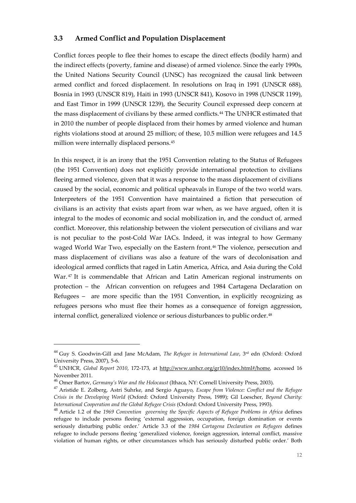#### <span id="page-14-0"></span>**3.3 Armed Conflict and Population Displacement**

Conflict forces people to flee their homes to escape the direct effects (bodily harm) and the indirect effects (poverty, famine and disease) of armed violence. Since the early 1990s, the United Nations Security Council (UNSC) has recognized the causal link between armed conflict and forced displacement. In resolutions on Iraq in 1991 (UNSCR 688), Bosnia in 1993 (UNSCR 819), Haiti in 1993 (UNSCR 841), Kosovo in 1998 (UNSCR 1199), and East Timor in 1999 (UNSCR 1239), the Security Council expressed deep concern at the mass displacement of civilians by these armed conflicts.<sup>[44](#page-14-1)</sup> The UNHCR estimated that in 2010 the number of people displaced from their homes by armed violence and human rights violations stood at around 25 million; of these, 10.5 million were refugees and 14.5 million were internally displaced persons.[45](#page-14-2)

In this respect, it is an irony that the 1951 Convention relating to the Status of Refugees (the 1951 Convention) does not explicitly provide international protection to civilians fleeing armed violence, given that it was a response to the mass displacement of civilians caused by the social, economic and political upheavals in Europe of the two world wars. Interpreters of the 1951 Convention have maintained a fiction that persecution of civilians is an activity that exists apart from war when, as we have argued, often it is integral to the modes of economic and social mobilization in, and the conduct of, armed conflict. Moreover, this relationship between the violent persecution of civilians and war is not peculiar to the post-Cold War IACs. Indeed, it was integral to how Germany waged World War Two, especially on the Eastern front.<sup>[46](#page-14-3)</sup> The violence, persecution and mass displacement of civilians was also a feature of the wars of decolonisation and ideological armed conflicts that raged in Latin America, Africa, and Asia during the Cold War.<sup>[47](#page-14-4)</sup> It is commendable that African and Latin American regional instruments on protection – the African convention on refugees and 1984 Cartagena Declaration on Refugees – are more specific than the 1951 Convention, in explicitly recognizing as refugees persons who must flee their homes as a consequence of foreign aggression, internal conflict, generalized violence or serious disturbances to public order.<sup>[48](#page-14-5)</sup>

<span id="page-14-1"></span><sup>&</sup>lt;sup>44</sup> Guy S. Goodwin-Gill and Jane McAdam, *The Refugee in International Law*, 3<sup>rd</sup> edn (Oxford: Oxford University Press, 2007), 5-6.

<span id="page-14-2"></span><sup>45</sup> UNHCR, *Global Report 2010*, 172-173, at [http://www.unhcr.org/gr10/index.html#/home,](http://www.unhcr.org/gr10/index.html#/home) accessed 16 November 2011.

<span id="page-14-3"></span><sup>46</sup> Omer Bartov, *Germany's War and the Holocaust* (Ithaca, NY: Cornell University Press, 2003).

<span id="page-14-4"></span><sup>47</sup> Aristide E. Zolberg, Astri Suhrke, and Sergio Aguayo, *Escape from Violence: Conflict and the Refugee Crisis in the Developing World* (Oxford: Oxford University Press, 1989); Gil Loescher, *Beyond Charity: International Cooperation and the Global Refugee Crisis* (Oxford: Oxford University Press, 1993).

<span id="page-14-5"></span><sup>48</sup> Article 1.2 of the *1969 Convention governing the Specific Aspects of Refugee Problems in Africa* defines refugee to include persons fleeing 'external aggression, occupation, foreign domination or events seriously disturbing public order.' Article 3.3 of the *1984 Cartagena Declaration on Refugees* defines refugee to include persons fleeing 'generalized violence, foreign aggression, internal conflict, massive violation of human rights, or other circumstances which has seriously disturbed public order.' Both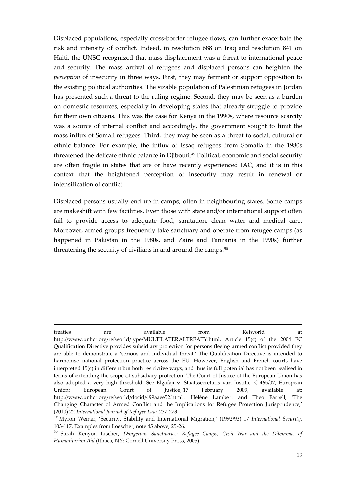Displaced populations, especially cross-border refugee flows, can further exacerbate the risk and intensity of conflict. Indeed, in resolution 688 on Iraq and resolution 841 on Haiti, the UNSC recognized that mass displacement was a threat to international peace and security. The mass arrival of refugees and displaced persons can heighten the *perception* of insecurity in three ways. First, they may ferment or support opposition to the existing political authorities. The sizable population of Palestinian refugees in Jordan has presented such a threat to the ruling regime. Second, they may be seen as a burden on domestic resources, especially in developing states that already struggle to provide for their own citizens. This was the case for Kenya in the 1990s, where resource scarcity was a source of internal conflict and accordingly, the government sought to limit the mass influx of Somali refugees. Third, they may be seen as a threat to social, cultural or ethnic balance. For example, the influx of Issaq refugees from Somalia in the 1980s threatened the delicate ethnic balance in Djibouti.<sup>[49](#page-15-0)</sup> Political, economic and social security are often fragile in states that are or have recently experienced IAC, and it is in this context that the heightened perception of insecurity may result in renewal or intensification of conflict.

Displaced persons usually end up in camps, often in neighbouring states. Some camps are makeshift with few facilities. Even those with state and/or international support often fail to provide access to adequate food, sanitation, clean water and medical care. Moreover, armed groups frequently take sanctuary and operate from refugee camps (as happened in Pakistan in the 1980s, and Zaire and Tanzania in the 1990s) further threatening the security of civilians in and around the camps.<sup>[50](#page-15-1)</sup>

treaties are available from Refworld at [http://www.unhcr.org/refworld/type/MULTILATERALTREATY.html.](http://www.unhcr.org/refworld/type/MULTILATERALTREATY.html) Article 15(c) of the 2004 EC Qualification Directive provides subsidiary protection for persons fleeing armed conflict provided they are able to demonstrate a 'serious and individual threat.' The Qualification Directive is intended to harmonise national protection practice across the EU. However, English and French courts have interpreted 15(c) in different but both restrictive ways, and thus its full potential has not been realised in terms of extending the scope of subsidiary protection. The Court of Justice of the European Union has also adopted a very high threshold. See Elgafaji v. Staatssecretaris van Justitie, C-465/07, European Union: European Court of Justice, 17 February 2009, available at: http://www.unhcr.org/refworld/docid/499aaee52.html . Hélène Lambert and Theo Farrell, 'The Changing Character of Armed Conflict and the Implications for Refugee Protection Jurisprudence,' (2010) 22 *International Journal of Refugee Law*, 237-273.

<span id="page-15-0"></span><sup>49</sup> Myron Weiner, 'Security, Stability and International Migration,' (1992/93) 17 *International Security*, 103-117. Examples from Loescher, note 45 above, 25-26.

<span id="page-15-1"></span><sup>50</sup> Sarah Kenyon Lischer, *Dangerous Sanctuaries: Refugee Camps, Civil War and the Dilemmas of Humanitarian Aid* (Ithaca, NY: Cornell University Press, 2005).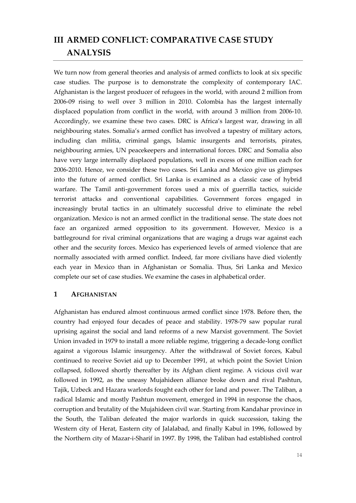# <span id="page-16-0"></span>**III ARMED CONFLICT: COMPARATIVE CASE STUDY ANALYSIS**

We turn now from general theories and analysis of armed conflicts to look at six specific case studies. The purpose is to demonstrate the complexity of contemporary IAC. Afghanistan is the largest producer of refugees in the world, with around 2 million from 2006-09 rising to well over 3 million in 2010. Colombia has the largest internally displaced population from conflict in the world, with around 3 million from 2006-10. Accordingly, we examine these two cases. DRC is Africa's largest war, drawing in all neighbouring states. Somalia's armed conflict has involved a tapestry of military actors, including clan militia, criminal gangs, Islamic insurgents and terrorists, pirates, neighbouring armies, UN peacekeepers and international forces. DRC and Somalia also have very large internally displaced populations, well in excess of one million each for 2006-2010. Hence, we consider these two cases. Sri Lanka and Mexico give us glimpses into the future of armed conflict. Sri Lanka is examined as a classic case of hybrid warfare. The Tamil anti-government forces used a mix of guerrilla tactics, suicide terrorist attacks and conventional capabilities. Government forces engaged in increasingly brutal tactics in an ultimately successful drive to eliminate the rebel organization. Mexico is not an armed conflict in the traditional sense. The state does not face an organized armed opposition to its government. However, Mexico is a battleground for rival criminal organizations that are waging a drugs war against each other and the security forces. Mexico has experienced levels of armed violence that are normally associated with armed conflict. Indeed, far more civilians have died violently each year in Mexico than in Afghanistan or Somalia. Thus, Sri Lanka and Mexico complete our set of case studies. We examine the cases in alphabetical order.

#### <span id="page-16-1"></span>**1 AFGHANISTAN**

Afghanistan has endured almost continuous armed conflict since 1978. Before then, the country had enjoyed four decades of peace and stability. 1978-79 saw popular rural uprising against the social and land reforms of a new Marxist government. The Soviet Union invaded in 1979 to install a more reliable regime, triggering a decade-long conflict against a vigorous Islamic insurgency. After the withdrawal of Soviet forces, Kabul continued to receive Soviet aid up to December 1991, at which point the Soviet Union collapsed, followed shortly thereafter by its Afghan client regime. A vicious civil war followed in 1992, as the uneasy Mujahideen alliance broke down and rival Pashtun, Tajik, Uzbeck and Hazara warlords fought each other for land and power. The Taliban, a radical Islamic and mostly Pashtun movement, emerged in 1994 in response the chaos, corruption and brutality of the Mujahideen civil war. Starting from Kandahar province in the South, the Taliban defeated the major warlords in quick succession, taking the Western city of Herat, Eastern city of Jalalabad, and finally Kabul in 1996, followed by the Northern city of Mazar-i-Sharif in 1997. By 1998, the Taliban had established control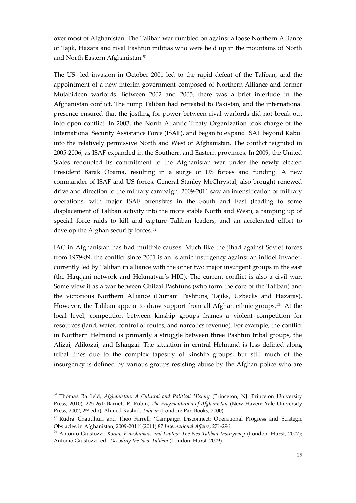over most of Afghanistan. The Taliban war rumbled on against a loose Northern Alliance of Tajik, Hazara and rival Pashtun militias who were held up in the mountains of North and North Eastern Afghanistan.<sup>[51](#page-17-0)</sup>

The US- led invasion in October 2001 led to the rapid defeat of the Taliban, and the appointment of a new interim government composed of Northern Alliance and former Mujahideen warlords. Between 2002 and 2005, there was a brief interlude in the Afghanistan conflict. The rump Taliban had retreated to Pakistan, and the international presence ensured that the jostling for power between rival warlords did not break out into open conflict. In 2003, the North Atlantic Treaty Organization took charge of the International Security Assistance Force (ISAF), and began to expand ISAF beyond Kabul into the relatively permissive North and West of Afghanistan. The conflict reignited in 2005-2006, as ISAF expanded in the Southern and Eastern provinces. In 2009, the United States redoubled its commitment to the Afghanistan war under the newly elected President Barak Obama, resulting in a surge of US forces and funding. A new commander of ISAF and US forces, General Stanley McChrystal, also brought renewed drive and direction to the military campaign. 2009-2011 saw an intensification of military operations, with major ISAF offensives in the South and East (leading to some displacement of Taliban activity into the more stable North and West), a ramping up of special force raids to kill and capture Taliban leaders, and an accelerated effort to develop the Afghan security forces.<sup>[52](#page-17-1)</sup>

IAC in Afghanistan has had multiple causes. Much like the jihad against Soviet forces from 1979-89, the conflict since 2001 is an Islamic insurgency against an infidel invader, currently led by Taliban in alliance with the other two major insurgent groups in the east (the Haqqani network and Hekmatyar's HIG). The current conflict is also a civil war. Some view it as a war between Ghilzai Pashtuns (who form the core of the Taliban) and the victorious Northern Alliance (Durrani Pashtuns, Tajiks, Uzbecks and Hazaras). However, the Taliban appear to draw support from all Afghan ethnic groups.<sup>[53](#page-17-2)</sup> At the local level, competition between kinship groups frames a violent competition for resources (land, water, control of routes, and narcotics revenue). For example, the conflict in Northern Helmand is primarily a struggle between three Pashtun tribal groups, the Alizai, Alikozai, and Ishaqzai. The situation in central Helmand is less defined along tribal lines due to the complex tapestry of kinship groups, but still much of the insurgency is defined by various groups resisting abuse by the Afghan police who are

<span id="page-17-0"></span><sup>51</sup> Thomas Barfield, *Afghanistan: A Cultural and Political History* (Princeton, NJ: Princeton University Press, 2010), 225-261; Barnett R. Rubin, *The Fragmentation of Afghanistan* (New Haven: Yale University Press, 2002, 2nd edn); Ahmed Rashid, *Taliban* (London: Pan Books, 2000).

<span id="page-17-1"></span><sup>52</sup> Rudra Chaudhuri and Theo Farrell, 'Campaign Disconnect: Operational Progress and Strategic Obstacles in Afghanistan, 2009-2011' (2011) 87 *International Affairs*, 271-296.

<span id="page-17-2"></span><sup>53</sup> Antonio Giustozzi, *Koran, Kalashnikov, and Laptop: The Neo-Taliban Insurgency* (London: Hurst, 2007); Antonio Giustozzi, ed., *Decoding the New Taliban* (London: Hurst, 2009).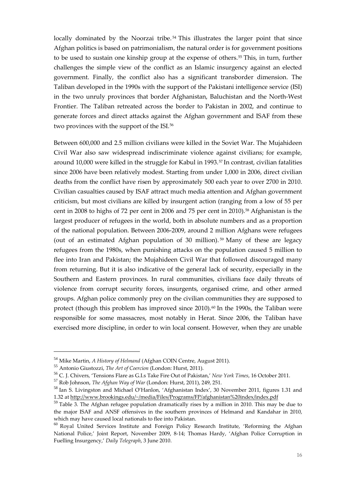locally dominated by the Noorzai tribe.<sup>[54](#page-18-0)</sup> This illustrates the larger point that since Afghan politics is based on patrimonialism, the natural order is for government positions to be used to sustain one kinship group at the expense of others.<sup>[55](#page-18-1)</sup> This, in turn, further challenges the simple view of the conflict as an Islamic insurgency against an elected government. Finally, the conflict also has a significant transborder dimension. The Taliban developed in the 1990s with the support of the Pakistani intelligence service (ISI) in the two unruly provinces that border Afghanistan, Baluchistan and the North-West Frontier. The Taliban retreated across the border to Pakistan in 2002, and continue to generate forces and direct attacks against the Afghan government and ISAF from these two provinces with the support of the ISI.<sup>[56](#page-18-2)</sup>

Between 600,000 and 2.5 million civilians were killed in the Soviet War. The Mujahideen Civil War also saw widespread indiscriminate violence against civilians; for example, around 10,000 were killed in the struggle for Kabul in 1993.<sup>[57](#page-18-3)</sup> In contrast, civilian fatalities since 2006 have been relatively modest. Starting from under 1,000 in 2006, direct civilian deaths from the conflict have risen by approximately 500 each year to over 2700 in 2010. Civilian casualties caused by ISAF attract much media attention and Afghan government criticism, but most civilians are killed by insurgent action (ranging from a low of 55 per cent in 2008 to highs of 72 per cent in 2006 and 75 per cent in 2010)[.58](#page-18-4) Afghanistan is the largest producer of refugees in the world, both in absolute numbers and as a proportion of the national population. Between 2006-2009, around 2 million Afghans were refugees (out of an estimated Afghan population of 30 million). [59](#page-18-5) Many of these are legacy refugees from the 1980s, when punishing attacks on the population caused 5 million to flee into Iran and Pakistan; the Mujahideen Civil War that followed discouraged many from returning. But it is also indicative of the general lack of security, especially in the Southern and Eastern provinces. In rural communities, civilians face daily threats of violence from corrupt security forces, insurgents, organised crime, and other armed groups. Afghan police commonly prey on the civilian communities they are supposed to protect (though this problem has improved since 2010).<sup>[60](#page-18-6)</sup> In the 1990s, the Taliban were responsible for some massacres, most notably in Herat. Since 2006, the Taliban have exercised more discipline, in order to win local consent. However, when they are unable

<span id="page-18-0"></span><sup>54</sup> Mike Martin, *A History of Helmand* (Afghan COIN Centre, August 2011).

<span id="page-18-1"></span><sup>55</sup> Antonio Giustozzi, *The Art of Coercion* (London: Hurst, 2011).

<span id="page-18-2"></span><sup>56</sup> C. J. Chivers, 'Tensions Flare as G.I.s Take Fire Out of Pakistan,' *New York Times*, 16 October 2011.

<span id="page-18-3"></span><sup>57</sup> Rob Johnson, *The Afghan Way of War* (London: Hurst, 2011), 249, 251.

<span id="page-18-4"></span><sup>58</sup> Ian S. Livingston and Michael O'Hanlon, 'Afghanistan Index', 30 November 2011, figures 1.31 and 1.32 a[t http://www.brookings.edu/~/media/Files/Programs/FP/afghanistan%20index/index.pdf](http://www.brookings.edu/~/media/Files/Programs/FP/afghanistan%20index/index.pdf)

<span id="page-18-5"></span><sup>59</sup> Table 3. The Afghan refugee population dramatically rises by a million in 2010. This may be due to the major ISAF and ANSF offensives in the southern provinces of Helmand and Kandahar in 2010, which may have caused local nationals to flee into Pakistan.

<span id="page-18-6"></span><sup>&</sup>lt;sup>60</sup> Royal United Services Institute and Foreign Policy Research Institute, 'Reforming the Afghan National Police,' Joint Report, November 2009, 8-14; Thomas Hardy, 'Afghan Police Corruption in Fuelling Insurgency,' *Daily Telegraph*, 3 June 2010.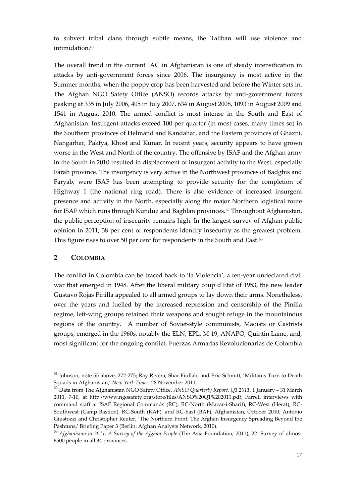to subvert tribal clans through subtle means, the Taliban will use violence and intimidation.<sup>[61](#page-19-1)</sup>

The overall trend in the current IAC in Afghanistan is one of steady intensification in attacks by anti-government forces since 2006. The insurgency is most active in the Summer months, when the poppy crop has been harvested and before the Winter sets in. The Afghan NGO Safety Office (ANSO) records attacks by anti-government forces peaking at 335 in July 2006, 405 in July 2007, 634 in August 2008, 1093 in August 2009 and 1541 in August 2010. The armed conflict is most intense in the South and East of Afghanistan. Insurgent attacks exceed 100 per quarter (in most cases, many times so) in the Southern provinces of Helmand and Kandahar, and the Eastern provinces of Ghazni, Nangarhar, Paktya, Khost and Kunar. In recent years, security appears to have grown worse in the West and North of the country. The offensive by ISAF and the Afghan army in the South in 2010 resulted in displacement of insurgent activity to the West, especially Farah province. The insurgency is very active in the Northwest provinces of Badghis and Faryab, were ISAF has been attempting to provide security for the completion of Highway 1 (the national ring road). There is also evidence of increased insurgent presence and activity in the North, especially along the major Northern logistical route for ISAF which runs through Kunduz and Baghlan provinces.[62](#page-19-2) Throughout Afghanistan, the public perception of insecurity remains high. In the largest survey of Afghan public opinion in 2011, 38 per cent of respondents identify insecurity as the greatest problem. This figure rises to over 50 per cent for respondents in the South and East.<sup>[63](#page-19-3)</sup>

#### <span id="page-19-0"></span>**2 COLOMBIA**

1

The conflict in Colombia can be traced back to 'la Violencia', a ten-year undeclared civil war that emerged in 1948. After the liberal military coup d'Etat of 1953, the new leader Gustavo Rojas Pinilla appealed to all armed groups to lay down their arms. Nonetheless, over the years and fuelled by the increased repression and censorship of the Pinilla regime, left-wing groups retained their weapons and sought refuge in the mountainous regions of the country. A number of Soviet-style communists, Maoists or Castrists groups, emerged in the 1960s, notably the ELN, EPL, M-19, ANAPO, Quintin Lame, and, most significant for the ongoing conflict, Fuerzas Armadas Revolucionarias de Colombia

<span id="page-19-1"></span><sup>61</sup> Johnson, note 55 above, 272-275; Ray Rivera, Shar Fiullah, and Eric Schmitt, 'Militants Turn to Death Squads in Afghanistan,' *New York Times*, 28 November 2011.

<span id="page-19-2"></span><sup>62</sup> Data from The Afghanistan NGO Safety Office, *ANSO Quarterly Report, Q1 2011*, 1 January – 31 March 2011, 7-10, at [http://www.ngosafety.org/store/files/ANSO%20Q1%202011.pdf;](http://www.ngosafety.org/store/files/ANSO%20Q1%202011.pdf) Farrell interviews with command staff at ISAF Regional Commands (RC), RC-North (Mazar-i-Sharif), RC-West (Herat), RC-Southwest (Camp Bastion), RC-South (KAF), and RC-East (BAF), Afghanistan, October 2010; Antonio Giustozzi and Christopher Reuter, 'The Northern Front: The Afghan Insurgency Spreading Beyond the Pashtuns,' Briefing Paper 3 (Berlin: Afghan Analysts Network, 2010).

<span id="page-19-3"></span><sup>63</sup> *Afghanistan in 2011: A Survey of the Afghan People* (The Asia Foundation, 2011), 22. Survey of almost 6500 people in all 34 provinces.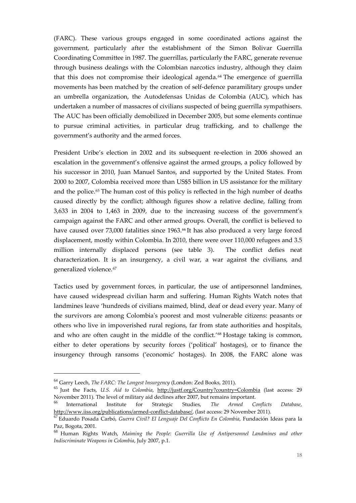(FARC). These various groups engaged in some coordinated actions against the government, particularly after the establishment of the Simon Bolivar Guerrilla Coordinating Committee in 1987. The guerrillas, particularly the FARC, generate revenue through business dealings with the Colombian narcotics industry, although they claim that this does not compromise their ideological agenda.<sup>[64](#page-20-0)</sup> The emergence of guerrilla movements has been matched by the creation of self-defence paramilitary groups under an umbrella organization, the Autodefensas Unidas de Colombia (AUC), which has undertaken a number of massacres of civilians suspected of being guerrilla sympathisers. The AUC has been officially demobilized in December 2005, but some elements continue to pursue criminal activities, in particular drug trafficking, and to challenge the government's authority and the armed forces.

President Uribe's election in 2002 and its subsequent re-election in 2006 showed an escalation in the government's offensive against the armed groups, a policy followed by his successor in 2010, Juan Manuel Santos, and supported by the United States. From 2000 to 2007, Colombia received more than US\$5 billion in US assistance for the military and the police. [65](#page-20-1) The human cost of this policy is reflected in the high number of deaths caused directly by the conflict; although figures show a relative decline, falling from 3,633 in 2004 to 1,463 in 2009, due to the increasing success of the government's campaign against the FARC and other armed groups. Overall, the conflict is believed to have caused over 73,000 fatalities since 1963.<sup>[66](#page-20-2)</sup> It has also produced a very large forced displacement, mostly within Colombia. In 2010, there were over 110,000 refugees and 3.5 million internally displaced persons (see table 3). The conflict defies neat characterization. It is an insurgency, a civil war, a war against the civilians, and generalized violence.<sup>[67](#page-20-3)</sup>

Tactics used by government forces, in particular, the use of antipersonnel landmines, have caused widespread civilian harm and suffering. Human Rights Watch notes that landmines leave 'hundreds of civilians maimed, blind, deaf or dead every year. Many of the survivors are among Colombia's poorest and most vulnerable citizens: peasants or others who live in impoverished rural regions, far from state authorities and hospitals, and who are often caught in the middle of the conflict.'[68](#page-20-4) Hostage taking is common, either to deter operations by security forces ('political' hostages), or to finance the insurgency through ransoms ('economic' hostages). In 2008, the FARC alone was

<span id="page-20-0"></span><sup>64</sup> Garry Leech, *The FARC: The Longest Insurgency* (London: Zed Books, 2011).

<span id="page-20-1"></span><sup>65</sup> Just the Facts, *U.S. Aid to Colombia*, <http://justf.org/Country?country=Colombia> (last access: 29 November 2011). The level of military aid declines after 2007, but remains important.

<span id="page-20-2"></span><sup>66</sup> International Institute for Strategic Studies, *The Armed Conflicts Database*, [http://www.iiss.org/publications/armed-conflict-database/,](http://www.iiss.org/publications/armed-conflict-database/) (last access: 29 November 2011).

<span id="page-20-3"></span><sup>67</sup> Eduardo Posada Carbó, *Guerra Civil? El Lenguaje Del Conflicto En Colombia*, Fundación Ideas para la Paz, Bogota, 2001.

<span id="page-20-4"></span><sup>68</sup> Human Rights Watch, *Maiming the People: Guerrilla Use of Antipersonnel Landmines and other Indiscriminate Weapons in Colombia*, July 2007, p.1.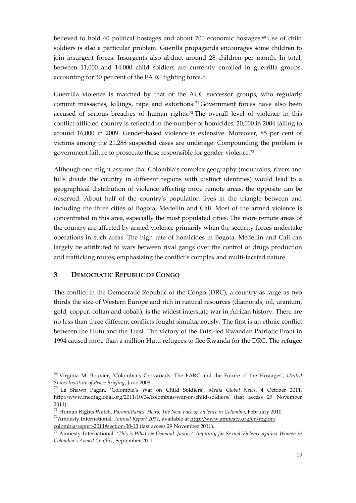believed to hold 40 political hostages and about 700 economic hostages.<sup>[69](#page-21-1)</sup> Use of child soldiers is also a particular problem. Guerilla propaganda encourages some children to join insurgent forces. Insurgents also abduct around 28 children per month. In total, between 11,000 and 14,000 child soldiers are currently enrolled in guerrilla groups, accounting for 30 per cent of the FARC fighting force.[70](#page-21-2)

Guerrilla violence is matched by that of the AUC successor groups, who regularly commit massacres, killings, rape and extortions. [71](#page-21-3) Government forces have also been accused of serious breaches of human rights. [72](#page-21-4) The overall level of violence in this conflict-afflicted country is reflected in the number of homicides, 20,000 in 2004 falling to around 16,000 in 2009. Gender-based violence is extensive. Moreover, 85 per cent of victims among the 21,288 suspected cases are underage. Compounding the problem is government failure to prosecute those responsible for gender-violence.[73](#page-21-5)

Although one might assume that Colombia's complex geography (mountains, rivers and hills divide the country in different regions with distinct identities) would lead to a geographical distribution of violence affecting more remote areas, the opposite can be observed. About half of the country's population lives in the triangle between and including the three cities of Bogota, Medellin and Cali. Most of the armed violence is concentrated in this area, especially the most populated cities. The more remote areas of the country are affected by armed violence primarily when the security forces undertake operations in such areas. The high rate of homicides in Bogota, Medellin and Cali can largely be attributed to wars between rival gangs over the control of drugs production and trafficking routes, emphasizing the conflict's complex and multi-faceted nature.

#### <span id="page-21-0"></span>**3 DEMOCRATIC REPUBLIC OF CONGO**

1

The conflict in the Democratic Republic of the Congo (DRC), a country as large as two thirds the size of Western Europe and rich in natural resources (diamonds, oil, uranium, gold, copper, coltan and cobalt), is the widest interstate war in African history. There are no less than three different conflicts fought simultaneously. The first is an ethnic conflict between the Hutu and the Tutsi. The victory of the Tutsi-led Rwandan Patriotic Front in 1994 caused more than a million Hutu refugees to flee Rwanda for the DRC. The refugee

<span id="page-21-1"></span><sup>69</sup> Virginia M. Bouvier, 'Colombia's Crossroads: The FARC and the Future of the Hostages', *United States Institute of Peace Briefing*, June 2008.

<span id="page-21-2"></span><sup>70</sup> La Shawn Pagan, 'Colombia's War on Child Soldiers', *Media Global News*, 4 October 2011, <http://www.mediaglobal.org/2011/10/04/colombias-war-on-child-soldiers/> (last access 29 November 2011).

<span id="page-21-3"></span><sup>71</sup> Human Rights Watch, *Paramilitaries' Heirs: The New Face of Violence in Colombia*, February 2010.

<span id="page-21-4"></span><sup>72</sup>Amnesty International, *Annual Report 2011*, available a[t http://www.amnesty.org/en/region/](http://www.amnesty.org/en/region/%20colombia/report-2011#section-30-13)  [colombia/report-2011#section-30-13](http://www.amnesty.org/en/region/%20colombia/report-2011#section-30-13) (last access 29 November 2011).

<span id="page-21-5"></span><sup>73</sup> Amnesty International, *'This is What we Demand. Justice'. Impunity for Sexual Violence against Women in Colombia's Armed Conflict*, September 2011.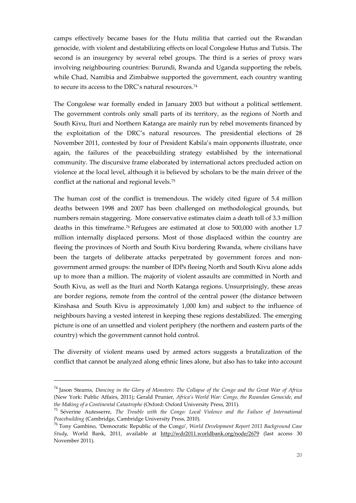camps effectively became bases for the Hutu militia that carried out the Rwandan genocide, with violent and destabilizing effects on local Congolese Hutus and Tutsis. The second is an insurgency by several rebel groups. The third is a series of proxy wars involving neighbouring countries: Burundi, Rwanda and Uganda supporting the rebels, while Chad, Namibia and Zimbabwe supported the government, each country wanting to secure its access to the DRC's natural resources.<sup>[74](#page-22-0)</sup>

The Congolese war formally ended in January 2003 but without a political settlement. The government controls only small parts of its territory, as the regions of North and South Kivu, Ituri and Northern Katanga are mainly run by rebel movements financed by the exploitation of the DRC's natural resources. The presidential elections of 28 November 2011, contested by four of President Kabila's main opponents illustrate, once again, the failures of the peacebuilding strategy established by the international community. The discursive frame elaborated by international actors precluded action on violence at the local level, although it is believed by scholars to be the main driver of the conflict at the national and regional levels.[75](#page-22-1)

The human cost of the conflict is tremendous. The widely cited figure of 5.4 million deaths between 1998 and 2007 has been challenged on methodological grounds, but numbers remain staggering. More conservative estimates claim a death toll of 3.3 million deaths in this timeframe.[76](#page-22-2) Refugees are estimated at close to 500,000 with another 1.7 million internally displaced persons. Most of those displaced within the country are fleeing the provinces of North and South Kivu bordering Rwanda, where civilians have been the targets of deliberate attacks perpetrated by government forces and nongovernment armed groups: the number of IDPs fleeing North and South Kivu alone adds up to more than a million. The majority of violent assaults are committed in North and South Kivu, as well as the Ituri and North Katanga regions. Unsurprisingly, these areas are border regions, remote from the control of the central power (the distance between Kinshasa and South Kivu is approximately 1,000 km) and subject to the influence of neighbours having a vested interest in keeping these regions destabilized. The emerging picture is one of an unsettled and violent periphery (the northern and eastern parts of the country) which the government cannot hold control.

The diversity of violent means used by armed actors suggests a brutalization of the conflict that cannot be analyzed along ethnic lines alone, but also has to take into account

<span id="page-22-0"></span><sup>74</sup> Jason Stearns, *Dancing in the Glory of Monsters: The Collapse of the Congo and the Great War of Africa* (New York: Public Affairs, 2011); Gerald Prunier, *Africa's World War: Congo, the Rwandan Genocide, and the Making of a Continental Catastrophe* (Oxford: Oxford University Press, 2011).

<span id="page-22-1"></span><sup>75</sup> Séverine Autesserre, *The Trouble with the Congo: Local Violence and the Failure of International Peacebuilding* (Cambridge, Cambridge University Press, 2010).

<span id="page-22-2"></span><sup>76</sup> Tony Gambino, 'Democratic Republic of the Congo', *World Development Report 2011 Background Case Study*, World Bank, 2011, available at <http://wdr2011.worldbank.org/node/2679> (last access 30 November 2011).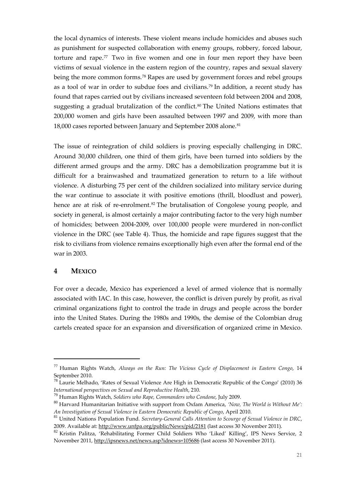the local dynamics of interests. These violent means include homicides and abuses such as punishment for suspected collaboration with enemy groups, robbery, forced labour, torture and rape.[77](#page-23-1) Two in five women and one in four men report they have been victims of sexual violence in the eastern region of the country, rapes and sexual slavery being the more common forms.[78](#page-23-2) Rapes are used by government forces and rebel groups as a tool of war in order to subdue foes and civilians.<sup>[79](#page-23-3)</sup> In addition, a recent study has found that rapes carried out by civilians increased seventeen fold between 2004 and 2008, suggesting a gradual brutalization of the conflict.<sup>[80](#page-23-4)</sup> The United Nations estimates that 200,000 women and girls have been assaulted between 1997 and 2009, with more than 18,000 cases reported between January and September 2008 alone.<sup>[81](#page-23-5)</sup>

The issue of reintegration of child soldiers is proving especially challenging in DRC. Around 30,000 children, one third of them girls, have been turned into soldiers by the different armed groups and the army. DRC has a demobilization programme but it is difficult for a brainwashed and traumatized generation to return to a life without violence. A disturbing 75 per cent of the children socialized into military service during the war continue to associate it with positive emotions (thrill, bloodlust and power), hence are at risk of re-enrolment.<sup>[82](#page-23-6)</sup> The brutalisation of Congolese young people, and society in general, is almost certainly a major contributing factor to the very high number of homicides; between 2004-2009, over 100,000 people were murdered in non-conflict violence in the DRC (see Table 4). Thus, the homicide and rape figures suggest that the risk to civilians from violence remains exceptionally high even after the formal end of the war in 2003.

#### <span id="page-23-0"></span>**4 MEXICO**

<u>.</u>

For over a decade, Mexico has experienced a level of armed violence that is normally associated with IAC. In this case, however, the conflict is driven purely by profit, as rival criminal organizations fight to control the trade in drugs and people across the border into the United States. During the 1980s and 1990s, the demise of the Colombian drug cartels created space for an expansion and diversification of organized crime in Mexico.

<span id="page-23-1"></span><sup>77</sup> Human Rights Watch, *Always on the Run: The Vicious Cycle of Displacement in Eastern Congo*, 14 September 2010.

<span id="page-23-2"></span> $78$  Laurie Melhado, 'Rates of Sexual Violence Are High in Democratic Republic of the Congo' (2010) 36 *International perspectives on Sexual and Reproductive Health*, 210.

<sup>79</sup> Human Rights Watch, *Soldiers who Rape, Commanders who Condone*, July 2009.

<span id="page-23-4"></span><span id="page-23-3"></span><sup>80</sup> Harvard Humanitarian Initiative with support from Oxfam America, *'Now, The World is Without Me': An Investigation of Sexual Violence in Eastern Democratic Republic of Congo*, April 2010.

<span id="page-23-5"></span><sup>81</sup> United Nations Population Fund*. Secretary-General Calls Attention to Scourge of Sexual Violence in DRC*, 2009. Available at:<http://www.unfpa.org/public/News/pid/2181> (last access 30 November 2011).

<span id="page-23-6"></span><sup>82</sup> Kristin Palitza, 'Rehabilitating Former Child Soldiers Who 'Liked' Killing', IPS News Service, 2 November 2011[, http://ipsnews.net/news.asp?idnews=105686](http://ipsnews.net/news.asp?idnews=105686) (last access 30 November 2011).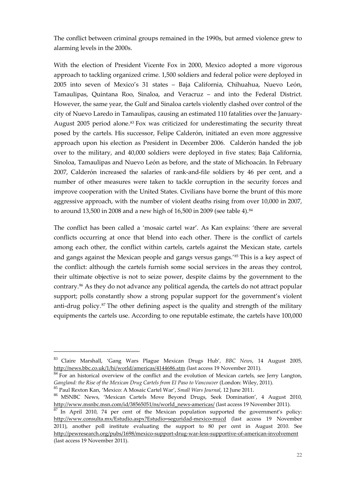The conflict between criminal groups remained in the 1990s, but armed violence grew to alarming levels in the 2000s.

With the election of President Vicente Fox in 2000, Mexico adopted a more vigorous approach to tackling organized crime. 1,500 soldiers and federal police were deployed in 2005 into seven of Mexico's 31 states – Baja California, Chihuahua, Nuevo León, Tamaulipas, Quintana Roo, Sinaloa, and Veracruz – and into the Federal District. However, the same year, the Gulf and Sinaloa cartels violently clashed over control of the city of Nuevo Laredo in Tamaulipas, causing an estimated 110 fatalities over the January-August 2005 period alone.[83](#page-24-0) Fox was criticized for underestimating the security threat posed by the cartels. His successor, Felipe Calderón, initiated an even more aggressive approach upon his election as President in December 2006. Calderón handed the job over to the military, and 40,000 soldiers were deployed in five states; Baja California, Sinoloa, Tamaulipas and Nuevo León as before, and the state of Michoacán. In February 2007, Calderón increased the salaries of rank-and-file soldiers by 46 per cent, and a number of other measures were taken to tackle corruption in the security forces and improve cooperation with the United States. Civilians have borne the brunt of this more aggressive approach, with the number of violent deaths rising from over 10,000 in 2007, to around 13,500 in 2008 and a new high of 16,500 in 2009 (see table 4).<sup>[84](#page-24-1)</sup>

The conflict has been called a 'mosaic cartel war'. As Kan explains: 'there are several conflicts occurring at once that blend into each other. There is the conflict of cartels among each other, the conflict within cartels, cartels against the Mexican state, cartels and gangs against the Mexican people and gangs versus gangs.<sup>'[85](#page-24-2)</sup> This is a key aspect of the conflict: although the cartels furnish some social services in the areas they control, their ultimate objective is not to seize power, despite claims by the government to the contrary[.86](#page-24-3) As they do not advance any political agenda, the cartels do not attract popular support; polls constantly show a strong popular support for the government's violent anti-drug policy.<sup>[87](#page-24-4)</sup> The other defining aspect is the quality and strength of the military equipments the cartels use. According to one reputable estimate, the cartels have 100,000

<span id="page-24-0"></span><sup>83</sup> Claire Marshall, 'Gang Wars Plague Mexican Drugs Hub', *BBC News*, 14 August 2005, <http://news.bbc.co.uk/1/hi/world/americas/4144686.stm> (last access 19 November 2011).

<span id="page-24-1"></span><sup>&</sup>lt;sup>84</sup> For an historical overview of the conflict and the evolution of Mexican cartels, see Jerry Langton, *Gangland: the Rise of the Mexican Drug Cartels from El Paso to Vancouver* (London: Wiley, 2011).

<span id="page-24-3"></span><span id="page-24-2"></span><sup>&</sup>lt;sup>85</sup> Paul Rexton Kan, 'Mexico: A Mosaic Cartel War', *Small Wars Journal*, 12 June 2011.<br><sup>86</sup> MSNBC News, 'Mexican Cartels Move Beyond Drugs, Seek Domination', 4 August 2010, [http://www.msnbc.msn.com/id/38565051/ns/world\\_news-americas/](http://www.msnbc.msn.com/id/38565051/ns/world_news-americas/) (last access 19 November 2011).

<span id="page-24-4"></span> $87$  In April 2010, 74 per cent of the Mexican population supported the government's policy: <http://www.consulta.mx/Estudio.aspx?Estudio=seguridad-mexico-mucd> (last access 19 November 2011), another poll institute evaluating the support to 80 per cent in August 2010. See <http://pewresearch.org/pubs/1698/mexico-support-drug-war-less-supportive-of-american-involvement> (last access 19 November 2011).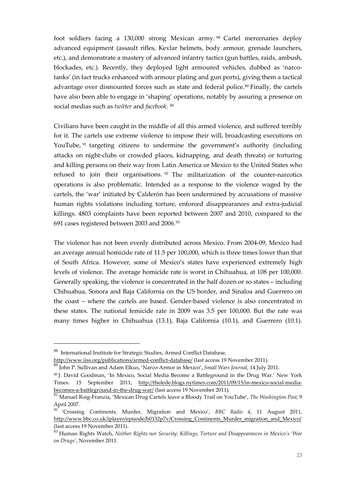foot soldiers facing a 130,000 strong Mexican army. [88](#page-25-0) Cartel mercenaries deploy advanced equipment (assault rifles, Kevlar helmets, body armour, grenade launchers, etc.), and demonstrate a mastery of advanced infantry tactics (gun battles, raids, ambush, blockades, etc.). Recently, they deployed light armoured vehicles, dubbed as 'narcotanks' (in fact trucks enhanced with armour plating and gun ports), giving them a tactical advantage over dismounted forces such as state and federal police.<sup>[89](#page-25-1)</sup> Finally, the cartels have also been able to engage in 'shaping' operations, notably by assuring a presence on social medias such as *twitter* and *facebook.* [90](#page-25-2)

Civilians have been caught in the middle of all this armed violence, and suffered terribly for it. The cartels use extreme violence to impose their will, broadcasting executions on YouTube, <sup>[91](#page-25-3)</sup> targeting citizens to undermine the government's authority (including attacks on night-clubs or crowded places, kidnapping, and death threats) or torturing and killing persons on their way from Latin America or Mexico to the United States who refused to join their organisations. [92](#page-25-4) The militarization of the counter-narcotics operations is also problematic. Intended as a response to the violence waged by the cartels, the 'war' initiated by Calderón has been undermined by accusations of massive human rights violations including torture, enforced disappearances and extra-judicial killings. 4803 complaints have been reported between 2007 and 2010, compared to the 691 cases registered between 2003 and 2006.[93](#page-25-5)

The violence has not been evenly distributed across Mexico. From 2004-09, Mexico had an average annual homicide rate of 11.5 per 100,000, which is three times lower than that of South Africa. However, some of Mexico's states have experienced extremely high levels of violence. The average homicide rate is worst in Chihuahua, at 108 per 100,000. Generally speaking, the violence is concentrated in the half dozen or so states – including Chihuahua, Sonora and Baja California on the US border, and Sinaloa and Guerrero on the coast – where the cartels are based. Gender-based violence is also concentrated in these states. The national femicide rate in 2009 was 3.5 per 100,000. But the rate was many times higher in Chihuahua (13.1), Baja California (10.1), and Guerrero (10.1).

<span id="page-25-0"></span><sup>88</sup> International Institute for Strategic Studies, Armed Conflict Database,

<http://www.iiss.org/publications/armed-conflict-database/> (last access 19 November 2011).

<span id="page-25-1"></span><sup>89</sup> John P. Sullivan and Adam Elkus, 'Narco-Armor in Mexico', *Small Wars Journal*, 14 July 2011.

<span id="page-25-2"></span><sup>90</sup> J. David Goodman, 'In Mexico, Social Media Become a Battleground in the Drug War.' New York Times. 15 September 2011, [http://thelede.blogs.nytimes.com/2011/09/15/in-mexico-social-media](http://thelede.blogs.nytimes.com/2011/09/15/in-mexico-social-media-becomes-a-battleground-in-the-drug-war/)[becomes-a-battleground-in-the-drug-war/](http://thelede.blogs.nytimes.com/2011/09/15/in-mexico-social-media-becomes-a-battleground-in-the-drug-war/) (last access 19 November 2011).

<span id="page-25-3"></span><sup>91</sup> Manuel Roig-Franzia, 'Mexican Drug Cartels leave a Bloody Trail on YouTube', *The Washington Post*, 9 April 2007.

<span id="page-25-4"></span><sup>92</sup> 'Crossing Continents, Murder, Migration and Mexico', *BBC Radio 4*, 11 August 2011, [http://www.bbc.co.uk/iplayer/episode/b0132p7v/Crossing\\_Continents\\_Murder\\_migration\\_and\\_Mexico/](http://www.bbc.co.uk/iplayer/episode/b0132p7v/Crossing_Continents_Murder_migration_and_Mexico/) (last access 19 November 2011).

<span id="page-25-5"></span><sup>93</sup> Human Rights Watch, *Neither Rights nor Security: Killings, Torture and Disappearances in Mexico's 'War on Drugs'*, November 2011.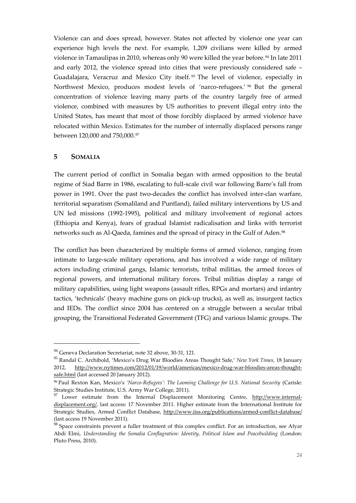Violence can and does spread, however. States not affected by violence one year can experience high levels the next. For example, 1,209 civilians were killed by armed violence in Tamaulipas in 2010, whereas only 90 were killed the year before.<sup>[94](#page-26-1)</sup> In late 2011 and early 2012, the violence spread into cities that were previously considered safe – Guadalajara, Veracruz and Mexico City itself. [95](#page-26-2) The level of violence, especially in Northwest Mexico, produces modest levels of 'narco-refugees.' [96](#page-26-3) But the general concentration of violence leaving many parts of the country largely free of armed violence, combined with measures by US authorities to prevent illegal entry into the United States, has meant that most of those forcibly displaced by armed violence have relocated within Mexico. Estimates for the number of internally displaced persons range between 120,000 and 750,000.[97](#page-26-4)

#### <span id="page-26-0"></span>**5 SOMALIA**

<u>.</u>

The current period of conflict in Somalia began with armed opposition to the brutal regime of Siad Barre in 1986, escalating to full-scale civil war following Barre's fall from power in 1991. Over the past two-decades the conflict has involved inter-clan warfare, territorial separatism (Somaliland and Puntland), failed military interventions by US and UN led missions (1992-1995), political and military involvement of regional actors (Ethiopia and Kenya), fears of gradual Islamist radicalisation and links with terrorist networks such as Al-Qaeda, famines and the spread of piracy in the Gulf of Aden.<sup>[98](#page-26-5)</sup>

The conflict has been characterized by multiple forms of armed violence, ranging from intimate to large-scale military operations, and has involved a wide range of military actors including criminal gangs, Islamic terrorists, tribal militias, the armed forces of regional powers, and international military forces. Tribal militias display a range of military capabilities, using light weapons (assault rifles, RPGs and mortars) and infantry tactics, 'technicals' (heavy machine guns on pick-up trucks), as well as, insurgent tactics and IEDs. The conflict since 2004 has centered on a struggle between a secular tribal grouping, the Transitional Federated Government (TFG) and various Islamic groups. The

<sup>&</sup>lt;sup>94</sup> Geneva Declaration Secretariat, note 32 above, 30-31, 121.

<span id="page-26-2"></span><span id="page-26-1"></span><sup>95</sup> Randal C. Archibold, 'Mexico's Drug War Bloodies Areas Thought Safe,' *New York Times*, 18 January 2012, [http://www.nytimes.com/2012/01/19/world/americas/mexico-drug-war-bloodies-areas-thought](http://www.nytimes.com/2012/01/19/world/americas/mexico-drug-war-bloodies-areas-thought-safe.html)[safe.html](http://www.nytimes.com/2012/01/19/world/americas/mexico-drug-war-bloodies-areas-thought-safe.html) (last accessed 20 January 2012).

<span id="page-26-3"></span><sup>96</sup> Paul Rexton Kan, Mexico's *'Narco-Refugees': The Looming Challenge for U.S. National Security* (Carisle: Strategic Studies Institute, U.S. Army War College, 2011).

<span id="page-26-4"></span><sup>&</sup>lt;sup>97</sup> Lower estimate from the Internal Displacement Monitoring Centre, [http://www.internal](http://www.internal-displacement.org/)[displacement.org/,](http://www.internal-displacement.org/) last access: 17 November 2011. Higher estimate from the International Institute for Strategic Studies, Armed Conflict Database,<http://www.iiss.org/publications/armed-conflict-database/> (last access 19 November 2011).

<span id="page-26-5"></span> $98$  Space constraints prevent a fuller treatment of this complex conflict. For an introduction, see Afyar Abdi Elmi, *Understanding the Somalia Conflagration: Identity, Political Islam and Peacebuilding* (London: Pluto Press, 2010).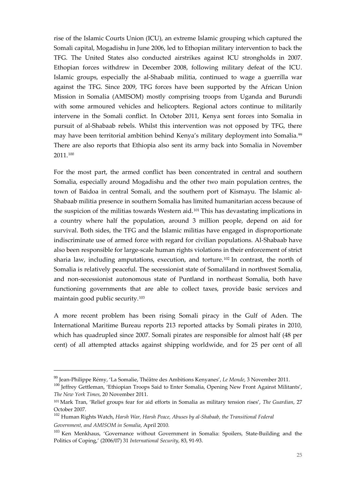rise of the Islamic Courts Union (ICU), an extreme Islamic grouping which captured the Somali capital, Mogadishu in June 2006, led to Ethopian military intervention to back the TFG. The United States also conducted airstrikes against ICU strongholds in 2007. Ethopian forces withdrew in December 2008, following military defeat of the ICU. Islamic groups, especially the al-Shabaab militia, continued to wage a guerrilla war against the TFG. Since 2009, TFG forces have been supported by the African Union Mission in Somalia (AMISOM) mostly comprising troops from Uganda and Burundi with some armoured vehicles and helicopters. Regional actors continue to militarily intervene in the Somali conflict. In October 2011, Kenya sent forces into Somalia in pursuit of al-Shabaab rebels. Whilst this intervention was not opposed by TFG, there may have been territorial ambition behind Kenya's military deployment into Somalia.[99](#page-27-0) There are also reports that Ethiopia also sent its army back into Somalia in November 2011.[100](#page-27-1)

For the most part, the armed conflict has been concentrated in central and southern Somalia, especially around Mogadishu and the other two main population centres, the town of Baidoa in central Somali, and the southern port of Kismayu. The Islamic al-Shabaab militia presence in southern Somalia has limited humanitarian access because of the suspicion of the militias towards Western aid.<sup>[101](#page-27-2)</sup> This has devastating implications in a country where half the population, around 3 million people, depend on aid for survival. Both sides, the TFG and the Islamic militias have engaged in disproportionate indiscriminate use of armed force with regard for civilian populations. Al-Shabaab have also been responsible for large-scale human rights violations in their enforcement of strict sharia law, including amputations, execution, and torture.<sup>[102](#page-27-3)</sup> In contrast, the north of Somalia is relatively peaceful. The secessionist state of Somaliland in northwest Somalia, and non-secessionist autonomous state of Puntland in northeast Somalia, both have functioning governments that are able to collect taxes, provide basic services and maintain good public security[.103](#page-27-4)

A more recent problem has been rising Somali piracy in the Gulf of Aden. The International Maritime Bureau reports 213 reported attacks by Somali pirates in 2010, which has quadrupled since 2007. Somali pirates are responsible for almost half (48 per cent) of all attempted attacks against shipping worldwide, and for 25 per cent of all

<span id="page-27-0"></span><sup>99</sup> Jean-Philippe Rémy, 'La Somalie, Théâtre des Ambitions Kenyanes', *Le Monde*, 3 November 2011.

<span id="page-27-1"></span><sup>&</sup>lt;sup>100</sup> Jeffrey Gettleman, 'Ethiopian Troops Said to Enter Somalia, Opening New Front Against Militants', *The New York Times*, 20 November 2011.

<span id="page-27-2"></span><sup>101</sup> Mark Tran, 'Relief groups fear for aid efforts in Somalia as military tension rises', *The Guardian*, 27 October 2007.

<span id="page-27-3"></span><sup>102</sup> Human Rights Watch, *Harsh War, Harsh Peace, Abuses by al-Shabaab, the Transitional Federal Government, and AMISOM in Somalia*, April 2010*.* 

<span id="page-27-4"></span><sup>&</sup>lt;sup>103</sup> Ken Menkhaus, 'Governance without Government in Somalia: Spoilers, State-Building and the Politics of Coping,' (2006/07) 31 *International Security*, 83, 91-93.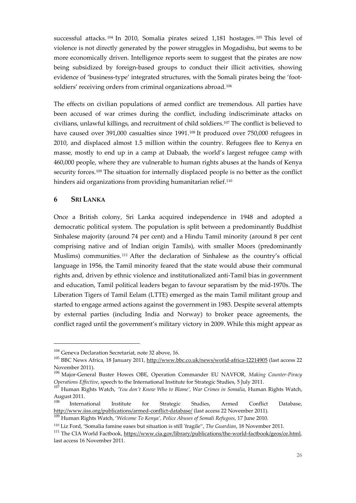successful attacks. <sup>[104](#page-28-1)</sup> In 2010, Somalia pirates seized 1,181 hostages. <sup>[105](#page-28-2)</sup> This level of violence is not directly generated by the power struggles in Mogadishu, but seems to be more economically driven. Intelligence reports seem to suggest that the pirates are now being subsidized by foreign-based groups to conduct their illicit activities, showing evidence of 'business-type' integrated structures, with the Somali pirates being the 'foot-soldiers' receiving orders from criminal organizations abroad.<sup>[106](#page-28-3)</sup>

The effects on civilian populations of armed conflict are tremendous. All parties have been accused of war crimes during the conflict, including indiscriminate attacks on civilians, unlawful killings, and recruitment of child soldiers.[107](#page-28-4) The conflict is believed to have caused over 391,000 casualties since 1991.<sup>[108](#page-28-5)</sup> It produced over 750,000 refugees in 2010, and displaced almost 1.5 million within the country. Refugees flee to Kenya en masse, mostly to end up in a camp at Dabaab, the world's largest refugee camp with 460,000 people, where they are vulnerable to human rights abuses at the hands of Kenya security forces.[109](#page-28-6) The situation for internally displaced people is no better as the conflict hinders aid organizations from providing humanitarian relief.<sup>[110](#page-28-7)</sup>

#### <span id="page-28-0"></span>**6 SRI LANKA**

<u>.</u>

Once a British colony, Sri Lanka acquired independence in 1948 and adopted a democratic political system. The population is split between a predominantly Buddhist Sinhalese majority (around 74 per cent) and a Hindu Tamil minority (around 8 per cent comprising native and of Indian origin Tamils), with smaller Moors (predominantly Muslims) communities. [111](#page-28-8) After the declaration of Sinhalese as the country's official language in 1956, the Tamil minority feared that the state would abuse their communal rights and, driven by ethnic violence and institutionalized anti-Tamil bias in government and education, Tamil political leaders began to favour separatism by the mid-1970s. The Liberation Tigers of Tamil Eelam (LTTE) emerged as the main Tamil militant group and started to engage armed actions against the government in 1983. Despite several attempts by external parties (including India and Norway) to broker peace agreements, the conflict raged until the government's military victory in 2009. While this might appear as

<sup>&</sup>lt;sup>104</sup> Geneva Declaration Secretariat, note 32 above, 16.

<span id="page-28-2"></span><span id="page-28-1"></span><sup>&</sup>lt;sup>105</sup> BBC News Africa, 18 January 2011,<http://www.bbc.co.uk/news/world-africa-12214905> (last access 22 November 2011).

<span id="page-28-3"></span><sup>106</sup> Major-General Buster Howes OBE, Operation Commander EU NAVFOR, *Making Counter-Piracy Operations Effective*, speech to the International Institute for Strategic Studies, 5 July 2011.

<span id="page-28-4"></span><sup>107</sup> Human Rights Watch, *'You don't Know Who to Blame', War Crimes in Somalia*, Human Rights Watch, August 2011.

<span id="page-28-5"></span><sup>108</sup> International Institute for Strategic Studies, Armed Conflict Database, <http://www.iiss.org/publications/armed-conflict-database/> (last access 22 November 2011).

<span id="page-28-6"></span><sup>109</sup> Human Rights Watch, '*Welcome To Kenya', Police Abuses of Somali Refugees*, 17 June 2010.

<span id="page-28-7"></span><sup>110</sup> Liz Ford, 'Somalia famine eases but situation is still 'fragile'', *The Guardian*, 18 November 2011.

<span id="page-28-8"></span><sup>&</sup>lt;sup>111</sup> The CIA World Factbook, [https://www.cia.gov/library/publications/the-world-factbook/geos/ce.html,](https://www.cia.gov/library/publications/the-world-factbook/geos/ce.html) last access 16 November 2011.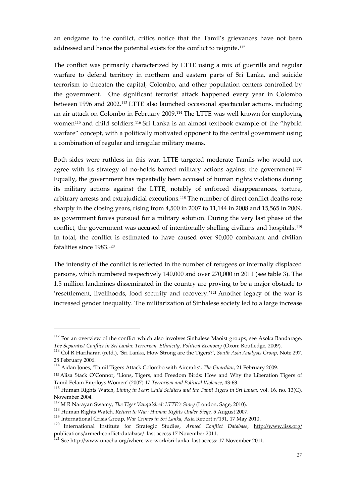an endgame to the conflict, critics notice that the Tamil's grievances have not been addressed and hence the potential exists for the conflict to reignite[.112](#page-29-0)

The conflict was primarily characterized by LTTE using a mix of guerrilla and regular warfare to defend territory in northern and eastern parts of Sri Lanka, and suicide terrorism to threaten the capital, Colombo, and other population centers controlled by the government. One significant terrorist attack happened every year in Colombo between 1996 and 2002.[113](#page-29-1) LTTE also launched occasional spectacular actions, including an air attack on Colombo in February 2009.[114](#page-29-2) The LTTE was well known for employing women<sup>115</sup> and child soldiers.<sup>[116](#page-29-4)</sup> Sri Lanka is an almost textbook example of the "hybrid warfare" concept, with a politically motivated opponent to the central government using a combination of regular and irregular military means.

Both sides were ruthless in this war. LTTE targeted moderate Tamils who would not agree with its strategy of no-holds barred military actions against the government.<sup>[117](#page-29-5)</sup> Equally, the government has repeatedly been accused of human rights violations during its military actions against the LTTE, notably of enforced disappearances, torture, arbitrary arrests and extrajudicial executions.[118](#page-29-6) The number of direct conflict deaths rose sharply in the closing years, rising from 4,500 in 2007 to 11,144 in 2008 and 15,565 in 2009, as government forces pursued for a military solution. During the very last phase of the conflict, the government was accused of intentionally shelling civilians and hospitals.[119](#page-29-7) In total, the conflict is estimated to have caused over 90,000 combatant and civilian fatalities since 1983.[120](#page-29-8)

The intensity of the conflict is reflected in the number of refugees or internally displaced persons, which numbered respectively 140,000 and over 270,000 in 2011 (see table 3). The 1.5 million landmines disseminated in the country are proving to be a major obstacle to 'resettlement, livelihoods, food security and recovery.'[121](#page-29-9) Another legacy of the war is increased gender inequality. The militarization of Sinhalese society led to a large increase

<span id="page-29-0"></span><sup>&</sup>lt;sup>112</sup> For an overview of the conflict which also involves Sinhalese Maoist groups, see Asoka Bandarage, *The Separatist Conflict in Sri Lanka: Terrorism, Ethnicity, Political Economy* (Oxon: Routledge, 2009).

<span id="page-29-1"></span><sup>113</sup> Col R Hariharan (retd.), 'Sri Lanka, How Strong are the Tigers?', *South Asia Analysis Group*, Note 297, 28 February 2006.

<span id="page-29-2"></span><sup>114</sup> Aidan Jones, 'Tamil Tigers Attack Colombo with Aircrafts', *The Guardian*, 21 February 2009.

<span id="page-29-3"></span><sup>115</sup> Alisa Stack O'Connor, 'Lions, Tigers, and Freedom Birds: How and Why the Liberation Tigers of Tamil Eelam Employs Women' (2007) 17 *Terrorism and Political Violence*, 43-63.

<span id="page-29-4"></span><sup>116</sup> Human Rights Watch, *Living in Fear: Child Soldiers and the Tamil Tigers in Sri Lanka*, vol. 16, no. 13(C), November 2004.

<sup>117</sup> M R Narayan Swamy, *The Tiger Vanquished: LTTE's Story* (London, Sage, 2010).

<span id="page-29-6"></span><span id="page-29-5"></span><sup>&</sup>lt;sup>118</sup> Human Rights Watch, *Return to War: Human Rights Under Siege*, 5 August 2007.<br><sup>119</sup> International Crisis Group, *War Crimes in Sri Lanka*, Asia Report n°191, 17 May 2010.

<span id="page-29-9"></span><span id="page-29-8"></span><span id="page-29-7"></span><sup>&</sup>lt;sup>120</sup> International Institute for Strategic Studies, Armed Conflict Database, http://www.iiss.org/ publications/armed-conflict-database/ last access 17 November 2011.<br><sup>121</sup> See [http://www.unocha.org/where-we-work/sri-lanka.](http://www.unocha.org/where-we-work/sri-lanka) last access: 17 November 2011.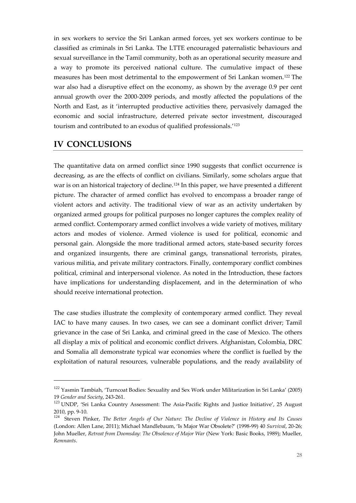in sex workers to service the Sri Lankan armed forces, yet sex workers continue to be classified as criminals in Sri Lanka. The LTTE encouraged paternalistic behaviours and sexual surveillance in the Tamil community, both as an operational security measure and a way to promote its perceived national culture. The cumulative impact of these measures has been most detrimental to the empowerment of Sri Lankan women.[122](#page-30-1) The war also had a disruptive effect on the economy, as shown by the average 0.9 per cent annual growth over the 2000-2009 periods, and mostly affected the populations of the North and East, as it 'interrupted productive activities there, pervasively damaged the economic and social infrastructure, deterred private sector investment, discouraged tourism and contributed to an exodus of qualified professionals.'[123](#page-30-2)

### <span id="page-30-0"></span>**IV CONCLUSIONS**

<u>.</u>

The quantitative data on armed conflict since 1990 suggests that conflict occurrence is decreasing, as are the effects of conflict on civilians. Similarly, some scholars argue that war is on an historical trajectory of decline.<sup>124</sup> In this paper, we have presented a different picture. The character of armed conflict has evolved to encompass a broader range of violent actors and activity. The traditional view of war as an activity undertaken by organized armed groups for political purposes no longer captures the complex reality of armed conflict. Contemporary armed conflict involves a wide variety of motives, military actors and modes of violence. Armed violence is used for political, economic and personal gain. Alongside the more traditional armed actors, state-based security forces and organized insurgents, there are criminal gangs, transnational terrorists, pirates, various militia, and private military contractors. Finally, contemporary conflict combines political, criminal and interpersonal violence. As noted in the Introduction, these factors have implications for understanding displacement, and in the determination of who should receive international protection.

The case studies illustrate the complexity of contemporary armed conflict. They reveal IAC to have many causes. In two cases, we can see a dominant conflict driver; Tamil grievance in the case of Sri Lanka, and criminal greed in the case of Mexico. The others all display a mix of political and economic conflict drivers. Afghanistan, Colombia, DRC and Somalia all demonstrate typical war economies where the conflict is fuelled by the exploitation of natural resources, vulnerable populations, and the ready availability of

<span id="page-30-1"></span><sup>&</sup>lt;sup>122</sup> Yasmin Tambiah, 'Turncoat Bodies: Sexuality and Sex Work under Militarization in Sri Lanka' (2005) 19 *Gender and Society*, 243-261.

<span id="page-30-2"></span><sup>&</sup>lt;sup>123</sup> UNDP, 'Sri Lanka Country Assessment: The Asia-Pacific Rights and Justice Initiative', 25 August 2010, pp. 9-10.

<span id="page-30-3"></span><sup>124</sup> Steven Pinker, *The Better Angels of Our Nature: The Decline of Violence in History and Its Causes* (London: Allen Lane, 2011); Michael Mandlebaum, 'Is Major War Obsolete?' (1998-99) 40 *Survival*, 20-26; John Mueller, *Retreat from Doomsday: The Obsolence of Major War* (New York: Basic Books, 1989); Mueller, *Remnants*.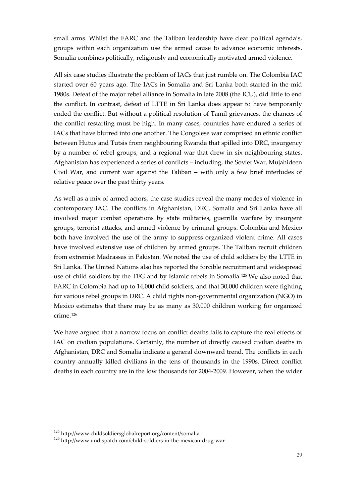small arms. Whilst the FARC and the Taliban leadership have clear political agenda's, groups within each organization use the armed cause to advance economic interests. Somalia combines politically, religiously and economically motivated armed violence.

All six case studies illustrate the problem of IACs that just rumble on. The Colombia IAC started over 60 years ago. The IACs in Somalia and Sri Lanka both started in the mid 1980s. Defeat of the major rebel alliance in Somalia in late 2008 (the ICU), did little to end the conflict. In contrast, defeat of LTTE in Sri Lanka does appear to have temporarily ended the conflict. But without a political resolution of Tamil grievances, the chances of the conflict restarting must be high. In many cases, countries have endured a series of IACs that have blurred into one another. The Congolese war comprised an ethnic conflict between Hutus and Tutsis from neighbouring Rwanda that spilled into DRC, insurgency by a number of rebel groups, and a regional war that drew in six neighbouring states. Afghanistan has experienced a series of conflicts – including, the Soviet War, Mujahideen Civil War, and current war against the Taliban – with only a few brief interludes of relative peace over the past thirty years.

As well as a mix of armed actors, the case studies reveal the many modes of violence in contemporary IAC. The conflicts in Afghanistan, DRC, Somalia and Sri Lanka have all involved major combat operations by state militaries, guerrilla warfare by insurgent groups, terrorist attacks, and armed violence by criminal groups. Colombia and Mexico both have involved the use of the army to suppress organized violent crime. All cases have involved extensive use of children by armed groups. The Taliban recruit children from extremist Madrassas in Pakistan. We noted the use of child soldiers by the LTTE in Sri Lanka. The United Nations also has reported the forcible recruitment and widespread use of child soldiers by the TFG and by Islamic rebels in Somalia.[125](#page-31-0) We also noted that FARC in Colombia had up to 14,000 child soldiers, and that 30,000 children were fighting for various rebel groups in DRC. A child rights non-governmental organization (NGO) in Mexico estimates that there may be as many as 30,000 children working for organized crime.[126](#page-31-1)

We have argued that a narrow focus on conflict deaths fails to capture the real effects of IAC on civilian populations. Certainly, the number of directly caused civilian deaths in Afghanistan, DRC and Somalia indicate a general downward trend. The conflicts in each country annually killed civilians in the tens of thousands in the 1990s. Direct conflict deaths in each country are in the low thousands for 2004-2009. However, when the wider

1

<sup>&</sup>lt;sup>125</sup> <http://www.childsoldiersglobalreport.org/content/somalia>

<span id="page-31-1"></span><span id="page-31-0"></span><sup>126</sup> <http://www.undispatch.com/child-soldiers-in-the-mexican-drug-war>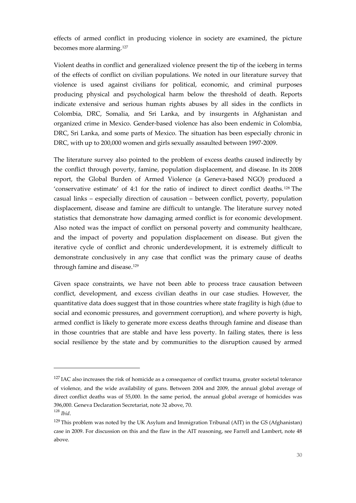effects of armed conflict in producing violence in society are examined, the picture becomes more alarming[.127](#page-32-0)

Violent deaths in conflict and generalized violence present the tip of the iceberg in terms of the effects of conflict on civilian populations. We noted in our literature survey that violence is used against civilians for political, economic, and criminal purposes producing physical and psychological harm below the threshold of death. Reports indicate extensive and serious human rights abuses by all sides in the conflicts in Colombia, DRC, Somalia, and Sri Lanka, and by insurgents in Afghanistan and organized crime in Mexico. Gender-based violence has also been endemic in Colombia, DRC, Sri Lanka, and some parts of Mexico. The situation has been especially chronic in DRC, with up to 200,000 women and girls sexually assaulted between 1997-2009.

The literature survey also pointed to the problem of excess deaths caused indirectly by the conflict through poverty, famine, population displacement, and disease. In its 2008 report, the Global Burden of Armed Violence (a Geneva-based NGO) produced a 'conservative estimate' of 4:1 for the ratio of indirect to direct conflict deaths.[128](#page-32-1) The casual links – especially direction of causation – between conflict, poverty, population displacement, disease and famine are difficult to untangle. The literature survey noted statistics that demonstrate how damaging armed conflict is for economic development. Also noted was the impact of conflict on personal poverty and community healthcare, and the impact of poverty and population displacement on disease. But given the iterative cycle of conflict and chronic underdevelopment, it is extremely difficult to demonstrate conclusively in any case that conflict was the primary cause of deaths through famine and disease.<sup>[129](#page-32-2)</sup>

Given space constraints, we have not been able to process trace causation between conflict, development, and excess civilian deaths in our case studies. However, the quantitative data does suggest that in those countries where state fragility is high (due to social and economic pressures, and government corruption), and where poverty is high, armed conflict is likely to generate more excess deaths through famine and disease than in those countries that are stable and have less poverty. In failing states, there is less social resilience by the state and by communities to the disruption caused by armed

<span id="page-32-0"></span> $127$  IAC also increases the risk of homicide as a consequence of conflict trauma, greater societal tolerance of violence, and the wide availability of guns. Between 2004 and 2009, the annual global average of direct conflict deaths was of 55,000. In the same period, the annual global average of homicides was 396,000. Geneva Declaration Secretariat, note 32 above, 70. <sup>128</sup> *Ibid*.

<span id="page-32-2"></span><span id="page-32-1"></span><sup>&</sup>lt;sup>129</sup> This problem was noted by the UK Asylum and Immigration Tribunal (AIT) in the GS (Afghanistan) case in 2009. For discussion on this and the flaw in the AIT reasoning, see Farrell and Lambert, note 48 above.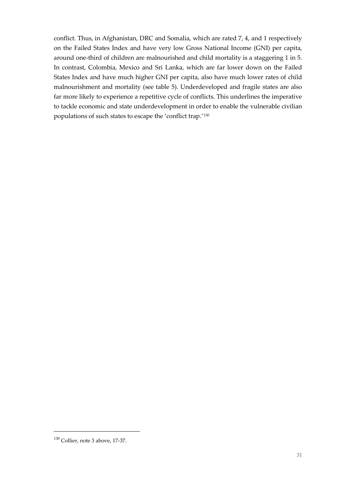conflict. Thus, in Afghanistan, DRC and Somalia, which are rated 7, 4, and 1 respectively on the Failed States Index and have very low Gross National Income (GNI) per capita, around one-third of children are malnourished and child mortality is a staggering 1 in 5. In contrast, Colombia, Mexico and Sri Lanka, which are far lower down on the Failed States Index and have much higher GNI per capita, also have much lower rates of child malnourishment and mortality (see table 5). Underdeveloped and fragile states are also far more likely to experience a repetitive cycle of conflicts. This underlines the imperative to tackle economic and state underdevelopment in order to enable the vulnerable civilian populations of such states to escape the 'conflict trap.'[130](#page-33-0)

<span id="page-33-0"></span><sup>130</sup> Collier, note 3 above, 17-37.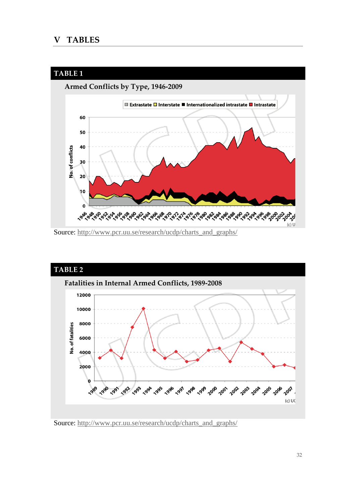#### <span id="page-34-0"></span>**V TABLES**



Source: [http://www.pcr.uu.se/research/ucdp/charts\\_and\\_graphs/](http://www.pcr.uu.se/research/ucdp/charts_and_graphs/)



Source: [http://www.pcr.uu.se/research/ucdp/charts\\_and\\_graphs/](http://www.pcr.uu.se/research/ucdp/charts_and_graphs/)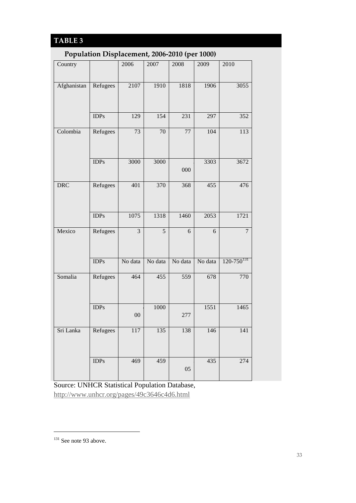# **TABLE 3**

### **Population Displacement, 2006-2010 (per 1000)**

| л.          |                 |                         |                | п.               |            |                   |
|-------------|-----------------|-------------------------|----------------|------------------|------------|-------------------|
| Country     |                 | 2006                    | 2007           | 2008             | 2009       | 2010              |
| Afghanistan | Refugees        | 2107                    | 1910           | 1818             | 1906       | 3055              |
|             | $\mathbf{IDPs}$ | 129                     | 154            | 231              | 297        | 352               |
| Colombia    | Refugees        | 73                      | $70\,$         | 77               | 104        | 113               |
|             | <b>IDPs</b>     | 3000                    | 3000           | 000              | 3303       | 3672              |
| <b>DRC</b>  | Refugees        | 401                     | 370            | $\overline{368}$ | 455        | 476               |
|             | <b>IDPs</b>     | 1075                    | 1318           | 1460             | 2053       | 1721              |
| Mexico      | Refugees        | $\overline{\mathbf{3}}$ | $\overline{5}$ | 6                | $\sqrt{6}$ | $\boldsymbol{7}$  |
|             | IDPs            | No data                 | No data        | No data          | No data    | $120 - 750^{131}$ |
| Somalia     | Refugees        | 464                     | 455            | 559              | 678        | 770               |
|             | <b>IDPs</b>     | ${\rm 00}$              | 1000           | 277              | 1551       | 1465              |
| Sri Lanka   | Refugees        | 117                     | 135            | 138              | 146        | 141               |
|             | <b>IDPs</b>     | 469                     | 459            | 05               | 435        | 274               |

Source: UNHCR Statistical Population Database, <http://www.unhcr.org/pages/49c3646c4d6.html>

<span id="page-35-0"></span><sup>&</sup>lt;sup>131</sup> See note 93 above.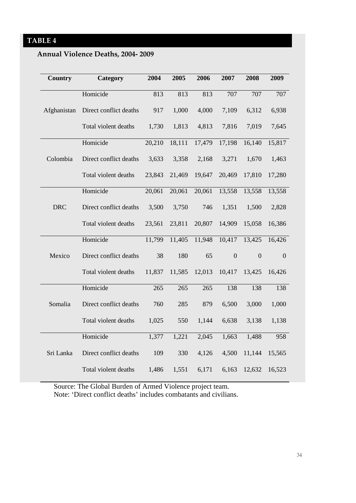# **Annual Violence Deaths, 2004- 2009**

| Country     | <b>Category</b>        | 2004   | 2005   | 2006   | 2007           | 2008           | 2009         |
|-------------|------------------------|--------|--------|--------|----------------|----------------|--------------|
|             | Homicide               | 813    | 813    | 813    | 707            | 707            | 707          |
| Afghanistan | Direct conflict deaths | 917    | 1,000  | 4,000  | 7,109          | 6,312          | 6,938        |
|             | Total violent deaths   | 1,730  | 1,813  | 4,813  | 7,816          | 7,019          | 7,645        |
|             | Homicide               | 20,210 | 18,111 | 17,479 | 17,198         | 16,140         | 15,817       |
| Colombia    | Direct conflict deaths | 3,633  | 3,358  | 2,168  | 3,271          | 1,670          | 1,463        |
|             | Total violent deaths   | 23,843 | 21,469 | 19,647 | 20,469         | 17,810         | 17,280       |
|             | Homicide               | 20,061 | 20,061 | 20,061 | 13,558         | 13,558         | 13,558       |
| <b>DRC</b>  | Direct conflict deaths | 3,500  | 3,750  | 746    | 1,351          | 1,500          | 2,828        |
|             | Total violent deaths   | 23,561 | 23,811 | 20,807 | 14,909         | 15,058         | 16,386       |
|             | Homicide               | 11,799 | 11,405 | 11,948 | 10,417         | 13,425         | 16,426       |
| Mexico      | Direct conflict deaths | 38     | 180    | 65     | $\overline{0}$ | $\overline{0}$ | $\mathbf{0}$ |
|             | Total violent deaths   | 11,837 | 11,585 | 12,013 | 10,417         | 13,425         | 16,426       |
|             | Homicide               | 265    | 265    | 265    | 138            | 138            | 138          |
| Somalia     | Direct conflict deaths | 760    | 285    | 879    | 6,500          | 3,000          | 1,000        |
|             | Total violent deaths   | 1,025  | 550    | 1,144  | 6,638          | 3,138          | 1,138        |
|             | Homicide               | 1,377  | 1,221  | 2,045  | 1,663          | 1,488          | 958          |
| Sri Lanka   | Direct conflict deaths | 109    | 330    | 4,126  | 4,500          | 11,144         | 15,565       |
|             | Total violent deaths   | 1,486  | 1,551  | 6,171  | 6,163          | 12,632         | 16,523       |

Source: The Global Burden of Armed Violence project team. Note: 'Direct conflict deaths' includes combatants and civilians.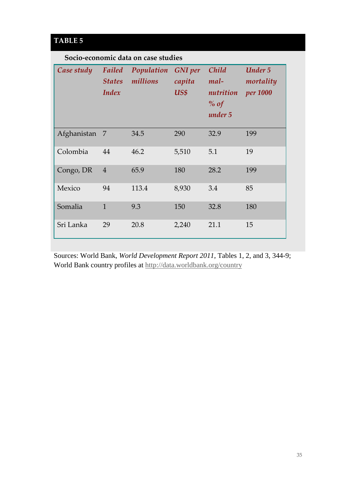# **TABLE 5**

### **Socio-economic data on case studies**

| Case study  | Failed<br><b>States</b><br>Index | Population<br>millions | <b>GNI</b> per<br>capita<br>US\$ | Child<br>mal-<br>nutrition<br>$%$ of<br>under 5 | <b>Under 5</b><br>mortality<br><i>per</i> 1000 |
|-------------|----------------------------------|------------------------|----------------------------------|-------------------------------------------------|------------------------------------------------|
| Afghanistan | $\overline{7}$                   | 34.5                   | 290                              | 32.9                                            | 199                                            |
| Colombia    | 44                               | 46.2                   | 5,510                            | 5.1                                             | 19                                             |
| Congo, DR   | $\overline{4}$                   | 65.9                   | 180                              | 28.2                                            | 199                                            |
| Mexico      | 94                               | 113.4                  | 8,930                            | 3.4                                             | 85                                             |
| Somalia     | $\mathbf{1}$                     | 9.3                    | 150                              | 32.8                                            | 180                                            |
| Sri Lanka   | 29                               | 20.8                   | 2,240                            | 21.1                                            | 15                                             |

Sources: World Bank, *World Development Report 2011*, Tables 1, 2, and 3, 344-9; World Bank country profiles at<http://data.worldbank.org/country>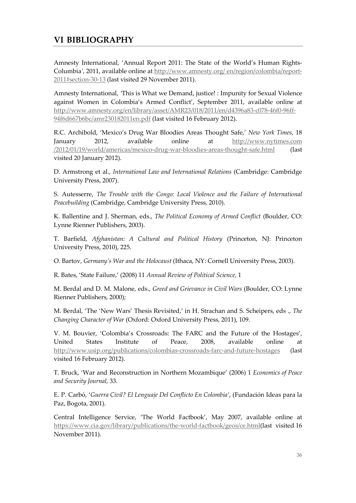<span id="page-38-0"></span>Amnesty International, 'Annual Report 2011: The State of the World's Human Rights-Columbia*'*, 2011, available online at [http://www.amnesty.org/ en/region/colombia/report-](http://www.amnesty.org/%20en/region/colombia/report-2011#section-30-13)[2011#section-30-13](http://www.amnesty.org/%20en/region/colombia/report-2011#section-30-13) (last visited 29 November 2011).

Amnesty International, *'*This is What we Demand, justice! : Impunity for Sexual Violence against Women in Colombia's Armed Conflict', September 2011, available online at [http://www.amnesty.org/en/library/asset/AMR23/018/2011/en/d4396a83-c078-46f0-96ff-](http://www.amnesty.org/en/library/asset/AMR23/018/2011/en/d4396a83-c078-46f0-96ff-94f6d667b6bc/amr230182011en.pdf)[94f6d667b6bc/amr230182011en.pdf](http://www.amnesty.org/en/library/asset/AMR23/018/2011/en/d4396a83-c078-46f0-96ff-94f6d667b6bc/amr230182011en.pdf) (last visited 16 February 2012).

R.C. Archibold, 'Mexico's Drug War Bloodies Areas Thought Safe,' *New York Times*, 18 January 2012, available online at http://www.nytimes.com /2012/01/19/world/americas/mexico-drug-war-bloodies-areas-thought-safe.html (last visited 20 January 2012).

D. Armstrong et al., *International Law and International Relations* (Cambridge: Cambridge University Press, 2007).

S. Autesserre, *The Trouble with the Congo: Local Violence and the Failure of International Peacebuilding* (Cambridge, Cambridge University Press, 2010).

K. Ballentine and J. Sherman, eds., *The Political Economy of Armed Conflict* (Boulder, CO: Lynne Rienner Publishers, 2003).

T. Barfield, *Afghanistan: A Cultural and Political History* (Princeton, NJ: Princeton University Press, 2010), 225.

O. Bartov, *Germany's War and the Holocaust* (Ithaca, NY: Cornell University Press, 2003).

R. Bates, 'State Failure,' (2008) 11 *Annual Review of Political Science*, 1

M. Berdal and D. M. Malone, eds., *Greed and Grievance in Civil Wars* (Boulder, CO: Lynne Rienner Publishers, 2000);

M. Berdal, 'The 'New Wars' Thesis Revisited,' in H. Strachan and S. Scheipers, eds ., *The Changing Character of War* (Oxford: Oxford University Press, 2011), 109.

V. M. Bouvier, 'Colombia's Crossroads: The FARC and the Future of the Hostages', United States Institute of Peace, 2008, available online at <http://www.usip.org/publications/colombias-crossroads-farc-and-future-hostages> (last visited 16 February 2012).

T. Bruck, 'War and Reconstruction in Northern Mozambique' (2006) 1 *Economics of Peace and Security Journal,* 33.

E. P. Carbó, '*Guerra Civil? El Lenguaje Del Conflicto En Colombia'*, (Fundación Ideas para la Paz, Bogota, 2001).

Central Intelligence Service, 'The World Factbook', May 2007, available online at [https://www.cia.gov/library/publications/the-world-factbook/geos/ce.html\(](https://www.cia.gov/library/publications/the-world-factbook/geos/ce.html)last visited 16 November 2011).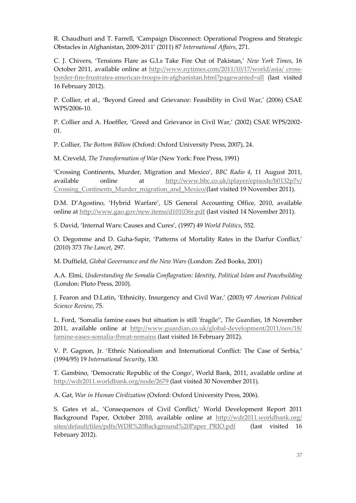R. Chaudhuri and T. Farrell, 'Campaign Disconnect: Operational Progress and Strategic Obstacles in Afghanistan, 2009-2011' (2011) 87 *International Affairs*, 271.

C. J. Chivers, 'Tensions Flare as G.I.s Take Fire Out of Pakistan,' *New York Times*, 16 October 2011, available online at [http://www.nytimes.com/2011/10/17/world/asia/ cross](http://www.nytimes.com/2011/10/17/world/asia/%20cross-border-fire-frustrates-american-troops-in-afghanistan.html?pagewanted=all)[border-fire-frustrates-american-troops-in-afghanistan.html?pagewanted=all](http://www.nytimes.com/2011/10/17/world/asia/%20cross-border-fire-frustrates-american-troops-in-afghanistan.html?pagewanted=all) (last visited 16 February 2012).

P. Collier, et al., 'Beyond Greed and Grievance: Feasibility in Civil War,' (2006) CSAE WPS/2006-10.

P. Collier and A. Hoeffler, 'Greed and Grievance in Civil War,' (2002) CSAE WPS/2002- 01.

P. Collier, *The Bottom Billion* (Oxford: Oxford University Press, 2007), 24.

M. Creveld, *The Transformation of War* (New York: Free Press, 1991)

'Crossing Continents, Murder, Migration and Mexico', *BBC Radio 4*, 11 August 2011, available online at [http://www.bbc.co.uk/iplayer/episode/b0132p7v/](http://www.bbc.co.uk/iplayer/episode/b0132p7v/%20Crossing_Continents_Murder_migration_and_Mexico/)  Crossing Continents Murder migration and Mexico/(last visited 19 November 2011).

D.M. D'Agostino, 'Hybrid Warfare', US General Accounting Office, 2010, available online at<http://www.gao.gov/new.items/d101036r.pdf> (last visited 14 November 2011).

S. David, 'Internal Wars: Causes and Cures'*,* (1997) 49 *World Politics*, 552.

O. Degomme and D. Guha-Sapir, 'Patterns of Mortality Rates in the Darfur Conflict,' (2010) 373 *The Lancet*, 297.

M. Duffield, *Global Governance and the New Wars* (London: Zed Books, 2001)

A.A. Elmi, *Understanding the Somalia Conflagration: Identity, Political Islam and Peacebuilding* (London: Pluto Press, 2010).

J. Fearon and D.Latin, 'Ethnicity, Insurgency and Civil War,' (2003) 97 *American Political Science Review*, 75.

L. Ford, 'Somalia famine eases but situation is still 'fragile'', *The Guardian*, 18 November 2011, available online at [http://www.guardian.co.uk/global-development/2011/nov/18/](http://www.guardian.co.uk/global-development/2011/nov/18/%20famine-eases-somalia-threat-remains)  [famine-eases-somalia-threat-remains](http://www.guardian.co.uk/global-development/2011/nov/18/%20famine-eases-somalia-threat-remains) (last visited 16 February 2012).

V. P. Gagnon, Jr. 'Ethnic Nationalism and International Conflict: The Case of Serbia,' (1994/95) 19 *International Security*, 130.

T. Gambino, 'Democratic Republic of the Congo', World Bank, 2011, available online at <http://wdr2011.worldbank.org/node/2679> (last visited 30 November 2011).

A. Gat, *War in Human Civilization* (Oxford: Oxford University Press, 2006).

S. Gates et al., 'Consequences of Civil Conflict,' World Development Report 2011 Background Paper, October 2010, available online at [http://wdr2011.worldbank.org/](http://wdr2011.worldbank.org/%20sites/default/files/pdfs/WDR%20Background%20Paper_PRIO.pdf)  [sites/default/files/pdfs/WDR%20Background%20Paper\\_PRIO.pdf](http://wdr2011.worldbank.org/%20sites/default/files/pdfs/WDR%20Background%20Paper_PRIO.pdf) (last visited 16 February 2012).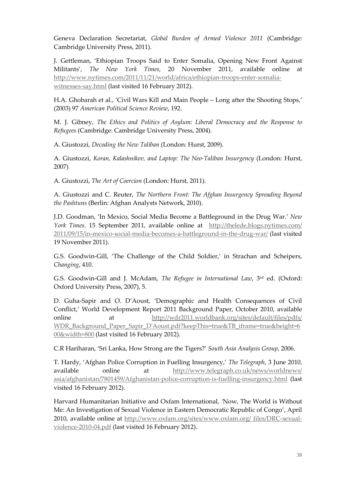Geneva Declaration Secretariat, *Global Burden of Armed Violence 2011* (Cambridge: Cambridge University Press, 2011).

J. Gettleman, 'Ethiopian Troops Said to Enter Somalia, Opening New Front Against Militants', *The New York Times*, 20 November 2011, available online at [http://www.nytimes.com/2011/11/21/world/africa/ethiopian-troops-enter-somalia](http://www.nytimes.com/2011/11/21/world/africa/ethiopian-troops-enter-somalia-witnesses-say.html)[witnesses-say.html](http://www.nytimes.com/2011/11/21/world/africa/ethiopian-troops-enter-somalia-witnesses-say.html) (last visited 16 February 2012).

H.A. Ghobarah et al., 'Civil Wars Kill and Main People – Long after the Shooting Stops,' (2003) 97 *American Political Science Review*, 192.

M. J. Gibney, *The Ethics and Politics of Asylum: Liberal Democracy and the Response to Refugees* (Cambridge: Cambridge University Press, 2004).

A. Giustozzi, *Decoding the New Taliban* (London: Hurst, 2009).

A. Giustozzi, *Koran, Kalashnikov, and Laptop: The Neo-Taliban Insurgency* (London: Hurst, 2007)

A. Giustozzi, *The Art of Coercion* (London: Hurst, 2011).

A. Giustozzi and C. Reuter, *The Northern Front: The Afghan Insurgency Spreading Beyond the Pashtuns* (Berlin: Afghan Analysts Network, 2010).

J.D. Goodman, 'In Mexico, Social Media Become a Battleground in the Drug War.' *New York Times*. 15 September 2011, available online at [http://thelede.blogs.nytimes.com/](http://thelede.blogs.nytimes.com/%202011/09/15/in-mexico-social-media-becomes-a-battleground-in-the-drug-war/)  [2011/09/15/in-mexico-social-media-becomes-a-battleground-in-the-drug-war/](http://thelede.blogs.nytimes.com/%202011/09/15/in-mexico-social-media-becomes-a-battleground-in-the-drug-war/) (last visited 19 November 2011).

G.S. Goodwin-Gill, 'The Challenge of the Child Soldier,' in Strachan and Scheipers, *Changing*, 410.

G.S. Goodwin-Gill and J. McAdam, *The Refugee in International Law*, 3rd ed. (Oxford: Oxford University Press, 2007), 5.

D. Guha-Sapir and O. D'Aoust, 'Demographic and Health Consequences of Civil Conflict,' World Development Report 2011 Background Paper, October 2010, available online at [http://wdr2011.worldbank.org/sites/default/files/pdfs/](http://wdr2011.worldbank.org/sites/default/files/pdfs/%20WDR_Background_Paper_Sapir_D)  [WDR\\_Background\\_Paper\\_Sapir\\_D'Aoust.pdf?keepThis=true&TB\\_iframe=true&height=6](http://wdr2011.worldbank.org/sites/default/files/pdfs/%20WDR_Background_Paper_Sapir_D) [00&width=800](http://wdr2011.worldbank.org/sites/default/files/pdfs/%20WDR_Background_Paper_Sapir_D) (last visited 16 February 2012).

C.R Hariharan, 'Sri Lanka, How Strong are the Tigers?' *South Asia Analysis Group*, 2006.

T. Hardy, 'Afghan Police Corruption in Fuelling Insurgency,' *The Telegraph*, 3 June 2010, available online at [http://www.telegraph.co.uk/news/worldnews/](http://www.telegraph.co.uk/news/worldnews/%20asia/afghanistan/7801459/Afghanistan-police-corruption-is-fuelling-insurgency.html)  [asia/afghanistan/7801459/Afghanistan-police-corruption-is-fuelling-insurgency.html](http://www.telegraph.co.uk/news/worldnews/%20asia/afghanistan/7801459/Afghanistan-police-corruption-is-fuelling-insurgency.html) (last visited 16 February 2012).

Harvard Humanitarian Initiative and Oxfam International, *'*Now, The World is Without Me: An Investigation of Sexual Violence in Eastern Democratic Republic of Congo', April 2010, available online at [http://www.oxfam.org/sites/www.oxfam.org/ files/DRC-sexual](http://www.oxfam.org/sites/www.oxfam.org/%20files/DRC-sexual-violence-2010-04.pdf)[violence-2010-04.pdf](http://www.oxfam.org/sites/www.oxfam.org/%20files/DRC-sexual-violence-2010-04.pdf) (last visited 16 February 2012).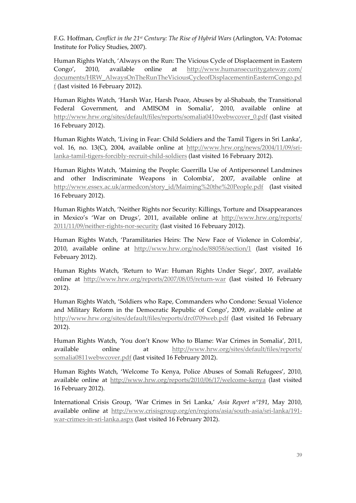F.G. Hoffman, *Conflict in the 21st Century: The Rise of Hybrid Wars* (Arlington, VA: Potomac Institute for Policy Studies, 2007).

Human Rights Watch, 'Always on the Run: The Vicious Cycle of Displacement in Eastern Congo', 2010, available online at [http://www.humansecuritygateway.com/](http://www.humansecuritygateway.com/%20documents/HRW_AlwaysOnTheRunTheViciousCycleofDisplacementinEasternCongo.pdf)  [documents/HRW\\_AlwaysOnTheRunTheViciousCycleofDisplacementinEasternCongo.pd](http://www.humansecuritygateway.com/%20documents/HRW_AlwaysOnTheRunTheViciousCycleofDisplacementinEasternCongo.pdf) [f](http://www.humansecuritygateway.com/%20documents/HRW_AlwaysOnTheRunTheViciousCycleofDisplacementinEasternCongo.pdf) (last visited 16 February 2012).

Human Rights Watch, 'Harsh War, Harsh Peace, Abuses by al-Shabaab, the Transitional Federal Government, and AMISOM in Somalia', 2010, available online at [http://www.hrw.org/sites/default/files/reports/somalia0410webwcover\\_0.pdf](http://www.hrw.org/sites/default/files/reports/somalia0410webwcover_0.pdf) (last visited 16 February 2012).

Human Rights Watch, 'Living in Fear: Child Soldiers and the Tamil Tigers in Sri Lanka', vol. 16, no. 13(C), 2004, available online at [http://www.hrw.org/news/2004/11/09/sri](http://www.hrw.org/news/2004/11/09/sri-lanka-tamil-tigers-forcibly-recruit-child-soldiers)[lanka-tamil-tigers-forcibly-recruit-child-soldiers](http://www.hrw.org/news/2004/11/09/sri-lanka-tamil-tigers-forcibly-recruit-child-soldiers) (last visited 16 February 2012).

Human Rights Watch, 'Maiming the People: Guerrilla Use of Antipersonnel Landmines and other Indiscriminate Weapons in Colombia', 2007, available online at [http://www.essex.ac.uk/armedcon/story\\_id/Maiming%20the%20People.pdf](http://www.essex.ac.uk/armedcon/story_id/Maiming%20the%20People.pdf) (last visited 16 February 2012).

Human Rights Watch, 'Neither Rights nor Security: Killings, Torture and Disappearances in Mexico's 'War on Drugs*'*, 2011, available online at [http://www.hrw.org/reports/](http://www.hrw.org/reports/%202011/11/09/neither-rights-nor-security)  [2011/11/09/neither-rights-nor-security](http://www.hrw.org/reports/%202011/11/09/neither-rights-nor-security) (last visited 16 February 2012).

Human Rights Watch, 'Paramilitaries Heirs: The New Face of Violence in Colombia', 2010, available online at <http://www.hrw.org/node/88058/section/1> (last visited 16 February 2012).

Human Rights Watch, 'Return to War: Human Rights Under Siege', 2007, available online at <http://www.hrw.org/reports/2007/08/05/return-war> (last visited 16 February 2012).

Human Rights Watch, 'Soldiers who Rape, Commanders who Condone: Sexual Violence and Military Reform in the Democratic Republic of Congo', 2009, available online at <http://www.hrw.org/sites/default/files/reports/drc0709web.pdf> (last visited 16 February 2012).

Human Rights Watch, *'*You don't Know Who to Blame: War Crimes in Somalia', 2011, available online at [http://www.hrw.org/sites/default/files/reports/](http://www.hrw.org/sites/default/files/reports/%20somalia0811webwcover.pdf)  [somalia0811webwcover.pdf](http://www.hrw.org/sites/default/files/reports/%20somalia0811webwcover.pdf) (last visited 16 February 2012).

Human Rights Watch, 'Welcome To Kenya, Police Abuses of Somali Refugees', 2010, available online at<http://www.hrw.org/reports/2010/06/17/welcome-kenya> (last visited 16 February 2012).

International Crisis Group, 'War Crimes in Sri Lanka,' *Asia Report n°191*, May 2010, available online at [http://www.crisisgroup.org/en/regions/asia/south-asia/sri-lanka/191](http://www.crisisgroup.org/en/regions/asia/south-asia/sri-lanka/191-war-crimes-in-sri-lanka.aspx) [war-crimes-in-sri-lanka.aspx](http://www.crisisgroup.org/en/regions/asia/south-asia/sri-lanka/191-war-crimes-in-sri-lanka.aspx) (last visited 16 February 2012).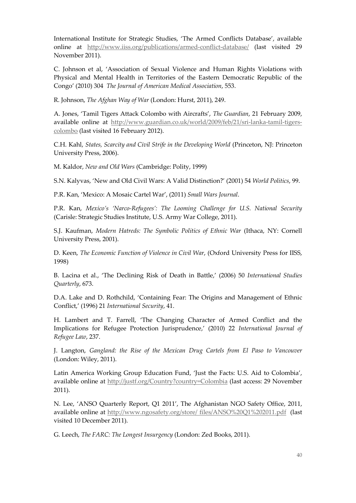International Institute for Strategic Studies, 'The Armed Conflicts Database', available online at <http://www.iiss.org/publications/armed-conflict-database/> (last visited 29 November 2011).

C. Johnson et al, 'Association of Sexual Violence and Human Rights Violations with Physical and Mental Health in Territories of the Eastern Democratic Republic of the Congo' (2010) 304 *The Journal of American Medical Association*, 553.

R. Johnson, *The Afghan Way of War* (London: Hurst, 2011), 249.

A. Jones, 'Tamil Tigers Attack Colombo with Aircrafts', *The Guardian*, 21 February 2009, available online at [http://www.guardian.co.uk/world/2009/feb/21/sri-lanka-tamil-tigers](http://www.guardian.co.uk/world/2009/feb/21/sri-lanka-tamil-tigers-colombo)[colombo](http://www.guardian.co.uk/world/2009/feb/21/sri-lanka-tamil-tigers-colombo) (last visited 16 February 2012).

C.H. Kahl, *States, Scarcity and Civil Strife in the Developing World* (Princeton, NJ: Princeton University Press, 2006).

M. Kaldor, *New and Old Wars* (Cambridge: Polity, 1999)

S.N. Kalyvas, 'New and Old Civil Wars: A Valid Distinction?' (2001) 54 *World Politics*, 99.

P.R. Kan, 'Mexico: A Mosaic Cartel War', (2011) *Small Wars Journal*.

P.R. Kan, *Mexico's 'Narco-Refugees': The Looming Challenge for U.S. National Security*  (Carisle: Strategic Studies Institute, U.S. Army War College, 2011).

S.J. Kaufman, *Modern Hatreds: The Symbolic Politics of Ethnic War* (Ithaca, NY: Cornell University Press, 2001).

D. Keen, *The Economic Function of Violence in Civil War*, (Oxford University Press for IISS, 1998)

B. Lacina et al., 'The Declining Risk of Death in Battle,' (2006) 50 *International Studies Quarterly*, 673.

D.A. Lake and D. Rothchild, 'Containing Fear: The Origins and Management of Ethnic Conflict,' (1996) 21 *International Security*, 41.

H. Lambert and T. Farrell, 'The Changing Character of Armed Conflict and the Implications for Refugee Protection Jurisprudence,' (2010) 22 *International Journal of Refugee Law*, 237.

J. Langton, *Gangland: the Rise of the Mexican Drug Cartels from El Paso to Vancouver* (London: Wiley, 2011).

Latin America Working Group Education Fund, 'Just the Facts: U.S. Aid to Colombia', available online at<http://justf.org/Country?country=Colombia> (last access: 29 November 2011).

N. Lee, 'ANSO Quarterly Report, Q1 2011', The Afghanistan NGO Safety Office, 2011, available online at [http://www.ngosafety.org/store/ files/ANSO%20Q1%202011.pdf](http://www.ngosafety.org/store/%20files/ANSO%20Q1%202011.pdf) (last visited 10 December 2011).

G. Leech, *The FARC: The Longest Insurgency* (London: Zed Books, 2011).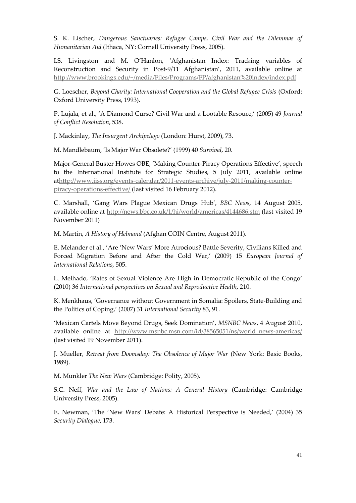S. K. Lischer, *Dangerous Sanctuaries: Refugee Camps, Civil War and the Dilemmas of Humanitarian Aid* (Ithaca, NY: Cornell University Press, 2005).

I.S. Livingston and M. O'Hanlon, 'Afghanistan Index: Tracking variables of Reconstruction and Security in Post-9/11 Afghanistan', 2011, available online at <http://www.brookings.edu/~/media/Files/Programs/FP/afghanistan%20index/index.pdf>

G. Loescher, *Beyond Charity: International Cooperation and the Global Refugee Crisis* (Oxford: Oxford University Press, 1993).

P. Lujala, et al., 'A Diamond Curse? Civil War and a Lootable Resouce,' (2005) 49 *Journal of Conflict Resolution*, 538.

J. Mackinlay, *The Insurgent Archipelago* (London: Hurst, 2009), 73.

M. Mandlebaum, 'Is Major War Obsolete?' (1999) 40 *Survival*, 20.

Major-General Buster Howes OBE, 'Making Counter-Piracy Operations Effective', speech to the International Institute for Strategic Studies, 5 July 2011, available online a[thttp://www.iiss.org/events-calendar/2011-events-archive/july-2011/making-counter](http://www.iiss.org/events-calendar/2011-events-archive/july-2011/making-counter-piracy-operations-effective/)[piracy-operations-effective/](http://www.iiss.org/events-calendar/2011-events-archive/july-2011/making-counter-piracy-operations-effective/) (last visited 16 February 2012).

C. Marshall, 'Gang Wars Plague Mexican Drugs Hub', *BBC News*, 14 August 2005, available online at<http://news.bbc.co.uk/1/hi/world/americas/4144686.stm> (last visited 19 November 2011)

M. Martin, *A History of Helmand* (Afghan COIN Centre, August 2011).

E. Melander et al., 'Are 'New Wars' More Atrocious? Battle Severity, Civilians Killed and Forced Migration Before and After the Cold War,' (2009) 15 *European Journal of International Relations*, 505.

L. Melhado, 'Rates of Sexual Violence Are High in Democratic Republic of the Congo' (2010) 36 *International perspectives on Sexual and Reproductive Health*, 210.

K. Menkhaus, 'Governance without Government in Somalia: Spoilers, State-Building and the Politics of Coping,' (2007) 31 *International Security* 83, 91.

'Mexican Cartels Move Beyond Drugs, Seek Domination', *MSNBC News*, 4 August 2010, available online at [http://www.msnbc.msn.com/id/38565051/ns/world\\_news-americas/](http://www.msnbc.msn.com/id/38565051/ns/world_news-americas/) (last visited 19 November 2011).

J. Mueller, *Retreat from Doomsday: The Obsolence of Major War* (New York: Basic Books, 1989).

M. Munkler *The New Wars* (Cambridge: Polity, 2005).

S.C. Neff, *War and the Law of Nations: A General History* (Cambridge: Cambridge University Press, 2005).

E. Newman, 'The 'New Wars' Debate: A Historical Perspective is Needed,' (2004) 35 *Security Dialogue*, 173.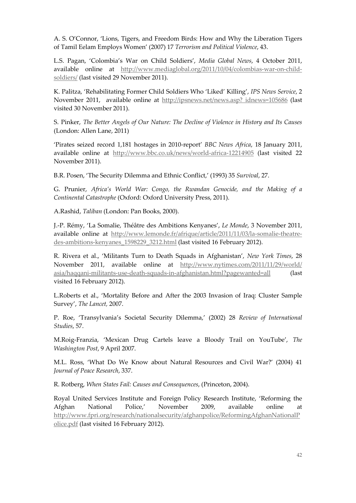A. S. O'Connor, 'Lions, Tigers, and Freedom Birds: How and Why the Liberation Tigers of Tamil Eelam Employs Women' (2007) 17 *Terrorism and Political Violence*, 43.

L.S. Pagan, 'Colombia's War on Child Soldiers', *Media Global News*, 4 October 2011, available online at [http://www.mediaglobal.org/2011/10/04/colombias-war-on-child](http://www.mediaglobal.org/2011/10/04/colombias-war-on-child-soldiers/)[soldiers/](http://www.mediaglobal.org/2011/10/04/colombias-war-on-child-soldiers/) (last visited 29 November 2011).

K. Palitza, 'Rehabilitating Former Child Soldiers Who 'Liked' Killing', *IPS News Service*, 2 November 2011, available online at [http://ipsnews.net/news.asp? idnews=105686](http://ipsnews.net/news.asp?%20idnews=105686) (last visited 30 November 2011).

S. Pinker, *The Better Angels of Our Nature: The Decline of Violence in History and Its Causes* (London: Allen Lane, 2011)

'Pirates seized record 1,181 hostages in 2010-report' *BBC News Africa*, 18 January 2011, available online at <http://www.bbc.co.uk/news/world-africa-12214905> (last visited 22 November 2011).

B.R. Posen, 'The Security Dilemma and Ethnic Conflict,' (1993) 35 *Survival*, 27.

G. Prunier, *Africa's World War: Congo, the Rwandan Genocide, and the Making of a Continental Catastrophe* (Oxford: Oxford University Press, 2011).

A.Rashid, *Taliban* (London: Pan Books, 2000).

J.-P. Rémy, 'La Somalie, Théâtre des Ambitions Kenyanes', *Le Monde*, 3 November 2011, available online at [http://www.lemonde.fr/afrique/article/2011/11/03/la-somalie-theatre](http://www.lemonde.fr/afrique/article/2011/11/03/la-somalie-theatre-des-ambitions-kenyanes_1598229_3212.html)[des-ambitions-kenyanes\\_1598229\\_3212.html](http://www.lemonde.fr/afrique/article/2011/11/03/la-somalie-theatre-des-ambitions-kenyanes_1598229_3212.html) (last visited 16 February 2012).

R. Rivera et al., 'Militants Turn to Death Squads in Afghanistan', *New York Times*, 28 November 2011, available online at [http://www.nytimes.com/2011/11/29/world/](http://www.nytimes.com/2011/11/29/world/%20asia/haqqani-militants-use-death-squads-in-afghanistan.html?pagewanted=all)  [asia/haqqani-militants-use-death-squads-in-afghanistan.html?pagewanted=all](http://www.nytimes.com/2011/11/29/world/%20asia/haqqani-militants-use-death-squads-in-afghanistan.html?pagewanted=all) (last visited 16 February 2012).

L.Roberts et al., 'Mortality Before and After the 2003 Invasion of Iraq: Cluster Sample Survey', *The Lancet,* 2007.

P. Roe, 'Transylvania's Societal Security Dilemma,' (2002) 28 *Review of International Studies*, 57.

M.Roig-Franzia, 'Mexican Drug Cartels leave a Bloody Trail on YouTube', *The Washington Post*, 9 April 2007.

M.L. Ross, 'What Do We Know about Natural Resources and Civil War?' (2004) 41 *Journal of Peace Research*, 337.

R. Rotberg, *When States Fail: Causes and Consequences*, (Princeton, 2004).

Royal United Services Institute and Foreign Policy Research Institute, 'Reforming the Afghan National Police,' November 2009, available online at [http://www.fpri.org/research/nationalsecurity/afghanpolice/ReformingAfghanNationalP](http://www.fpri.org/research/nationalsecurity/afghanpolice/ReformingAfghanNationalPolice.pdf) [olice.pdf](http://www.fpri.org/research/nationalsecurity/afghanpolice/ReformingAfghanNationalPolice.pdf) (last visited 16 February 2012).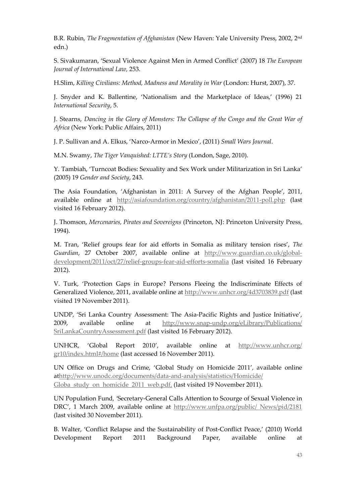B.R. Rubin, *The Fragmentation of Afghanistan* (New Haven: Yale University Press, 2002, 2nd edn.)

S. Sivakumaran, 'Sexual Violence Against Men in Armed Conflict' (2007) 18 *The European Journal of International Law,* 253.

H.Slim, *Killing Civilians: Method, Madness and Morality in War* (London: Hurst, 2007), 37.

J. Snyder and K. Ballentine, 'Nationalism and the Marketplace of Ideas,' (1996) 21 *International Security*, 5.

J. Stearns, *Dancing in the Glory of Monsters: The Collapse of the Congo and the Great War of Africa* (New York: Public Affairs, 2011)

J. P. Sullivan and A. Elkus, 'Narco-Armor in Mexico', (2011) *Small Wars Journal*.

M.N. Swamy, *The Tiger Vanquished: LTTE's Story* (London, Sage, 2010).

Y. Tambiah, 'Turncoat Bodies: Sexuality and Sex Work under Militarization in Sri Lanka' (2005) 19 *Gender and Society*, 243.

The Asia Foundation, 'Afghanistan in 2011: A Survey of the Afghan People', 2011, available online at <http://asiafoundation.org/country/afghanistan/2011-poll.php> (last visited 16 February 2012).

J. Thomson, *Mercenaries, Pirates and Sovereigns* (Princeton, NJ: Princeton University Press, 1994).

M. Tran, 'Relief groups fear for aid efforts in Somalia as military tension rises', *The Guardian*, 27 October 2007, available online at [http://www.guardian.co.uk/global](http://www.guardian.co.uk/global-development/2011/oct/27/relief-groups-fear-aid-efforts-somalia)[development/2011/oct/27/relief-groups-fear-aid-efforts-somalia](http://www.guardian.co.uk/global-development/2011/oct/27/relief-groups-fear-aid-efforts-somalia) (last visited 16 February 2012).

V. Turk, 'Protection Gaps in Europe? Persons Fleeing the Indiscriminate Effects of Generalized Violence, 2011, available online at<http://www.unhcr.org/4d3703839.pdf> (last visited 19 November 2011).

UNDP, 'Sri Lanka Country Assessment: The Asia-Pacific Rights and Justice Initiative', 2009, available online at [http://www.snap-undp.org/eLibrary/Publications/](http://www.snap-undp.org/eLibrary/Publications/%20SriLankaCountryAssessment.pdf)  [SriLankaCountryAssessment.pdf](http://www.snap-undp.org/eLibrary/Publications/%20SriLankaCountryAssessment.pdf) (last visited 16 February 2012).

UNHCR, 'Global Report 2010', available online at [http://www.unhcr.org/](http://www.unhcr.org/%20gr10/index.html#/home)  [gr10/index.html#/home](http://www.unhcr.org/%20gr10/index.html#/home) (last accessed 16 November 2011).

UN Office on Drugs and Crime, 'Global Study on Homicide 2011'*,* available online a[thttp://www.unodc.org/documents/data-and-analysis/statistics/Homicide/](http://www.unodc.org/documents/data-and-analysis/statistics/Homicide/%20Globa_study_on_homicide_2011_web.pdf,)  Globa study on homicide 2011 web.pdf, (last visited 19 November 2011).

UN Population Fund*, '*Secretary-General Calls Attention to Scourge of Sexual Violence in DRC', 1 March 2009, available online at [http://www.unfpa.org/public/ News/pid/2181](http://www.unfpa.org/public/%20News/pid/2181) (last visited 30 November 2011).

B. Walter, 'Conflict Relapse and the Sustainability of Post-Conflict Peace,' (2010) World Development Report 2011 Background Paper, available online at